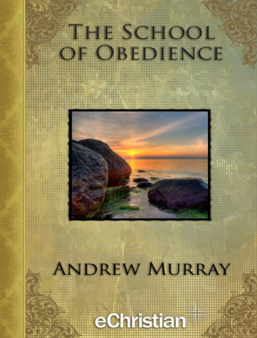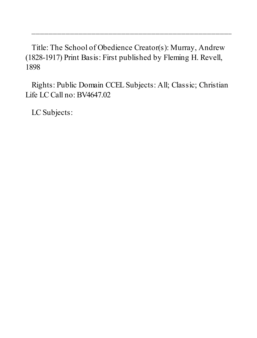Title: The School of Obedience Creator(s): Murray, Andrew (1828-1917) Print Basis: First published by Fleming H. Revell, 1898

\_\_\_\_\_\_\_\_\_\_\_\_\_\_\_\_\_\_\_\_\_\_\_\_\_\_\_\_\_\_\_\_\_\_\_\_\_\_\_\_\_\_\_\_\_\_\_\_\_\_\_\_\_\_\_\_\_\_\_\_\_\_\_\_\_\_

Rights: Public Domain CCEL Subjects: All; Classic; Christian Life LC Call no: BV4647.02

LC Subjects: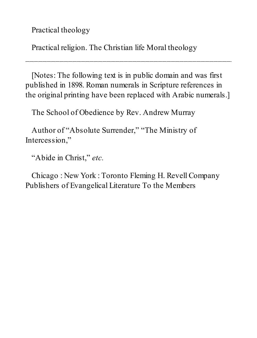Practical theology

Practical religion. The Christian life Moral theology

[Notes: The following text is in public domain and was first published in 1898. Roman numerals in Scripture references in the original printing have been replaced with Arabic numerals.]

\_\_\_\_\_\_\_\_\_\_\_\_\_\_\_\_\_\_\_\_\_\_\_\_\_\_\_\_\_\_\_\_\_\_\_\_\_\_\_\_\_\_\_\_\_\_\_\_\_\_\_\_\_\_\_\_\_\_\_\_\_\_\_\_\_\_

The School of Obedience by Rev. Andrew Murray

Author of "Absolute Surrender," "The Ministry of Intercession,"

"Abide in Christ," *etc.*

Chicago : New York : Toronto Fleming H. Revell Company Publishers of Evangelical Literature To the Members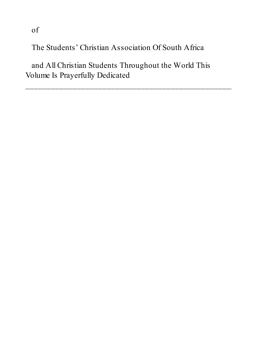The Students' Christian Association Of South Africa

and All Christian Students Throughout the World This Volume Is Prayerfully Dedicated

\_\_\_\_\_\_\_\_\_\_\_\_\_\_\_\_\_\_\_\_\_\_\_\_\_\_\_\_\_\_\_\_\_\_\_\_\_\_\_\_\_\_\_\_\_\_\_\_\_\_\_\_\_\_\_\_\_\_\_\_\_\_\_\_\_\_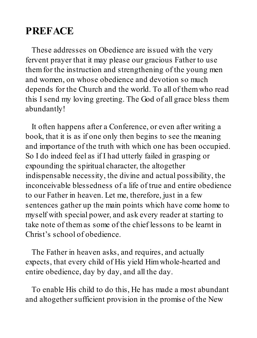# **PREFACE**

These addresses on Obedience are issued with the very fervent prayer that it may please our gracious Father to use themfor the instruction and strengthening of the young men and women, on whose obedience and devotion so much depends for the Church and the world. To all of themwho read this I send my loving greeting. The God of all grace bless them abundantly!

It often happens after a Conference, or even after writing a book, that it is as if one only then begins to see the meaning and importance of the truth with which one has been occupied. So I do indeed feel as if I had utterly failed in grasping or expounding the spiritual character, the altogether indispensable necessity, the divine and actual possibility, the inconceivable blessedness of a life of true and entire obedience to our Father in heaven. Let me, therefore, just in a few sentences gather up the main points which have come home to myself with special power, and ask every reader at starting to take note of themas some of the chief lessons to be learnt in Christ's school of obedience.

The Father in heaven asks, and requires, and actually expects, that every child of His yield Himwhole-hearted and entire obedience, day by day, and all the day.

To enable His child to do this, He has made a most abundant and altogether sufficient provision in the promise of the New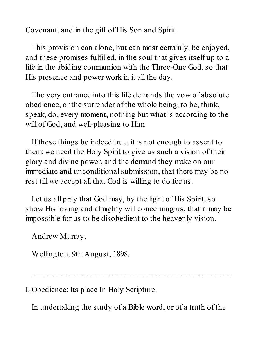Covenant, and in the gift of His Son and Spirit.

This provision can alone, but can most certainly, be enjoyed, and these promises fulfilled, in the soul that gives itself up to a life in the abiding communion with the Three-One God, so that His presence and power work in it all the day.

The very entrance into this life demands the vow of absolute obedience, or the surrender of the whole being, to be, think, speak, do, every moment, nothing but what is according to the will of God, and well-pleasing to Him.

If these things be indeed true, it is not enough to assent to them: we need the Holy Spirit to give us such a vision of their glory and divine power, and the demand they make on our immediate and unconditionalsubmission, that there may be no rest till we accept all that God is willing to do for us.

Let us all pray that God may, by the light of His Spirit, so show His loving and almighty will concerning us, that it may be impossible for us to be disobedient to the heavenly vision.

Andrew Murray.

Wellington, 9th August, 1898.

I. Obedience: Its place In Holy Scripture.

In undertaking the study of a Bible word, or of a truth of the

\_\_\_\_\_\_\_\_\_\_\_\_\_\_\_\_\_\_\_\_\_\_\_\_\_\_\_\_\_\_\_\_\_\_\_\_\_\_\_\_\_\_\_\_\_\_\_\_\_\_\_\_\_\_\_\_\_\_\_\_\_\_\_\_\_\_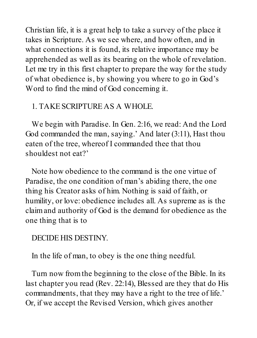Christian life, it is a great help to take a survey of the place it takes in Scripture. As we see where, and how often, and in what connections it is found, its relative importance may be apprehended as well as its bearing on the whole of revelation. Let me try in this first chapter to prepare the way for the study of what obedience is, by showing you where to go in God's Word to find the mind of God concerning it.

## 1. TAKE SCRIPTURE AS A WHOLE.

We begin with Paradise. In Gen. 2:16, we read: And the Lord God commanded the man, saying.' And later (3:11), Hast thou eaten of the tree, whereof I commanded thee that thou shouldest not eat?'

Note how obedience to the command is the one virtue of Paradise, the one condition of man's abiding there, the one thing his Creator asks of him. Nothing is said of faith, or humility, or love: obedience includes all. As supreme as is the claimand authority of God is the demand for obedience as the one thing that is to

### DECIDE HIS DESTINY.

In the life of man, to obey is the one thing needful.

Turn now fromthe beginning to the close of the Bible. In its last chapter you read (Rev. 22:14), Blessed are they that do His commandments, that they may have a right to the tree of life.' Or, if we accept the Revised Version, which gives another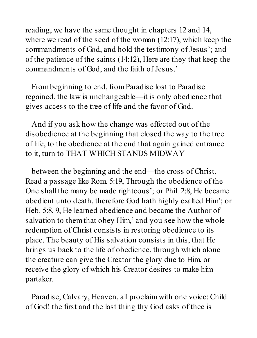reading, we have the same thought in chapters 12 and 14, where we read of the seed of the woman (12:17), which keep the commandments of God, and hold the testimony of Jesus'; and of the patience of the saints (14:12), Here are they that keep the commandments of God, and the faith of Jesus.'

Frombeginning to end, fromParadise lost to Paradise regained, the law is unchangeable—it is only obedience that gives access to the tree of life and the favor of God.

And if you ask how the change was effected out of the disobedience at the beginning that closed the way to the tree of life, to the obedience at the end that again gained entrance to it, turn to THAT WHICH STANDS MIDWAY

between the beginning and the end—the cross of Christ. Read a passage like Rom. 5:19, Through the obedience of the One shall the many be made righteous'; or Phil. 2:8, He became obedient unto death, therefore God hath highly exalted Him'; or Heb. 5:8, 9, He learned obedience and became the Author of salvation to themthat obey Him,' and you see how the whole redemption of Christ consists in restoring obedience to its place. The beauty of His salvation consists in this, that He brings us back to the life of obedience, through which alone the creature can give the Creator the glory due to Him, or receive the glory of which his Creator desires to make him partaker.

Paradise, Calvary, Heaven, all proclaimwith one voice: Child of God! the first and the last thing thy God asks of thee is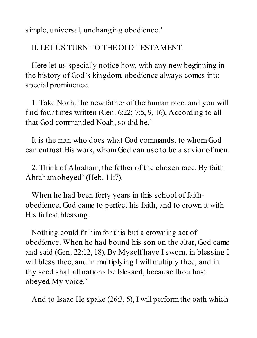simple, universal, unchanging obedience.'

II. LET US TURN TO THE OLD TESTAMENT.

Here let us specially notice how, with any new beginning in the history of God's kingdom, obedience always comes into special prominence.

1. Take Noah, the new father of the human race, and you will find four times written (Gen. 6:22; 7:5, 9, 16), According to all that God commanded Noah, so did he.'

It is the man who does what God commands, to whomGod can entrust His work, whomGod can use to be a savior of men.

2. Think of Abraham, the father of the chosen race. By faith Abrahamobeyed' (Heb. 11:7).

When he had been forty years in this school of faithobedience, God came to perfect his faith, and to crown it with His fullest blessing.

Nothing could fit himfor this but a crowning act of obedience. When he had bound his son on the altar, God came and said (Gen. 22:12, 18), By Myself have I sworn, in blessing I will bless thee, and in multiplying I will multiply thee; and in thy seed shall all nations be blessed, because thou hast obeyed My voice.'

And to Isaac He spake (26:3, 5), I will performthe oath which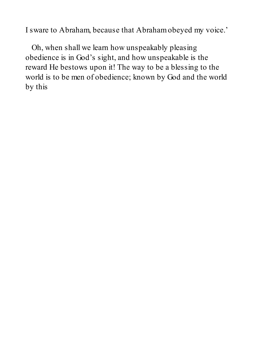I sware to Abraham, because that Abrahamobeyed my voice.'

Oh, when shall we learn how unspeakably pleasing obedience is in God's sight, and how unspeakable is the reward He bestows upon it! The way to be a blessing to the world is to be men of obedience; known by God and the world by this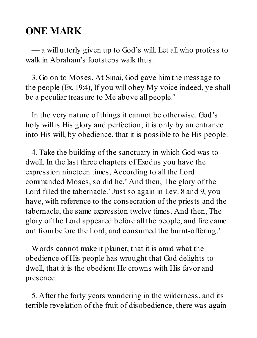# **ONE MARK**

— a will utterly given up to God's will. Let all who profess to walk in Abraham's footsteps walk thus.

3. Go on to Moses. At Sinai, God gave himthe message to the people (Ex. 19:4), If you will obey My voice indeed, ye shall be a peculiar treasure to Me above all people.'

In the very nature of things it cannot be otherwise. God's holy will is His glory and perfection; it is only by an entrance into His will, by obedience, that it is possible to be His people.

4. Take the building of the sanctuary in which God was to dwell. In the last three chapters of Exodus you have the expression nineteen times, According to all the Lord commanded Moses, so did he,' And then, The glory of the Lord filled the tabernacle.' Just so again in Lev. 8 and 9, you have, with reference to the consecration of the priests and the tabernacle, the same expression twelve times. And then, The glory of the Lord appeared before all the people, and fire came out frombefore the Lord, and consumed the burnt-offering.'

Words cannot make it plainer, that it is amid what the obedience of His people has wrought that God delights to dwell, that it is the obedient He crowns with His favor and presence.

5. After the forty years wandering in the wilderness, and its terrible revelation of the fruit of disobedience, there was again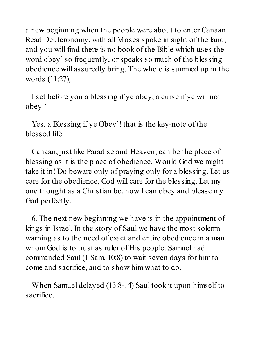a new beginning when the people were about to enter Canaan. Read Deuteronomy, with all Moses spoke in sight of the land, and you will find there is no book of the Bible which uses the word obey' so frequently, or speaks so much of the blessing obedience will assuredly bring. The whole is summed up in the words (11:27),

I set before you a blessing if ye obey, a curse if ye will not obey.'

Yes, a Blessing if ye Obey'! that is the key-note of the blessed life.

Canaan, just like Paradise and Heaven, can be the place of blessing as it is the place of obedience. Would God we might take it in! Do beware only of praying only for a blessing. Let us care for the obedience, God will care for the blessing. Let my one thought as a Christian be, how I can obey and please my God perfectly.

6. The next new beginning we have is in the appointment of kings in Israel. In the story of Saul we have the most solemn warning as to the need of exact and entire obedience in a man whomGod is to trust as ruler of His people. Samuel had commanded Saul (1 Sam. 10:8) to wait seven days for himto come and sacrifice, and to show himwhat to do.

When Samuel delayed (13:8-14) Saul took it upon himself to sacrifice.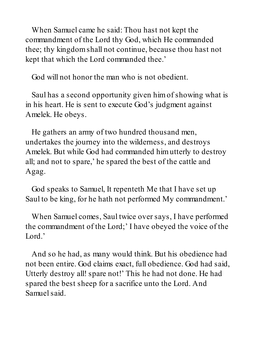When Samuel came he said: Thou hast not kept the commandment of the Lord thy God, which He commanded thee; thy kingdomshall not continue, because thou hast not kept that which the Lord commanded thee.'

God will not honor the man who is not obedient.

Saul has a second opportunity given himof showing what is in his heart. He is sent to execute God's judgment against Amelek. He obeys.

He gathers an army of two hundred thousand men, undertakes the journey into the wilderness, and destroys Amelek. But while God had commanded himutterly to destroy all; and not to spare,' he spared the best of the cattle and Agag.

God speaks to Samuel, It repenteth Me that I have set up Saul to be king, for he hath not performed My commandment.'

When Samuel comes, Saul twice over says, I have performed the commandment of the Lord;' I have obeyed the voice of the Lord<sup>3</sup>

And so he had, as many would think. But his obedience had not been entire. God claims exact, full obedience. God had said, Utterly destroy all! spare not!' This he had not done. He had spared the best sheep for a sacrifice unto the Lord. And Samuelsaid.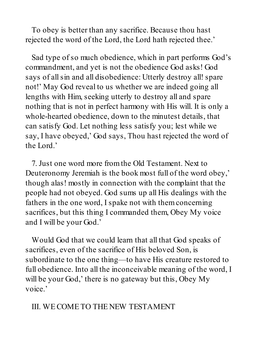To obey is better than any sacrifice. Because thou hast rejected the word of the Lord, the Lord hath rejected thee.'

Sad type of so much obedience, which in part performs God's commandment, and yet is not the obedience God asks! God says of allsin and all disobedience: Utterly destroy all! spare not!' May God reveal to us whether we are indeed going all lengths with Him, seeking utterly to destroy all and spare nothing that is not in perfect harmony with His will. It is only a whole-hearted obedience, down to the minutest details, that can satisfy God. Let nothing less satisfy you; lest while we say, I have obeyed,' God says, Thou hast rejected the word of the Lord.'

7. Just one word more fromthe Old Testament. Next to Deuteronomy Jeremiah is the book most full of the word obey.' though alas! mostly in connection with the complaint that the people had not obeyed. God sums up all His dealings with the fathers in the one word, I spake not with themconcerning sacrifices, but this thing I commanded them, Obey My voice and I will be your God.'

Would God that we could learn that all that God speaks of sacrifices, even of the sacrifice of His beloved Son, is subordinate to the one thing—to have His creature restored to full obedience. Into all the inconceivable meaning of the word, I will be your God,' there is no gateway but this, Obey My voice.'

## III. WECOME TO THE NEW TESTAMENT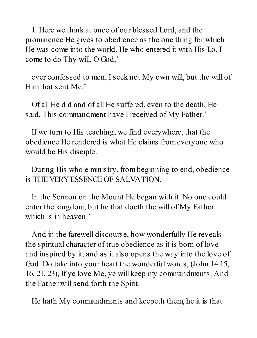1. Here we think at once of our blessed Lord, and the prominence He gives to obedience as the one thing for which He was come into the world. He who entered it with His Lo, I come to do Thy will, O God,'

ever confessed to men, I seek not My own will, but the will of Himthat sent Me.'

Of all He did and of all He suffered, even to the death, He said, This commandment have I received of My Father.'

If we turn to His teaching, we find everywhere, that the obedience He rendered is what He claims fromeveryone who would be His disciple.

During His whole ministry, frombeginning to end, obedience is THE VERYESSENCE OF SALVATION.

In the Sermon on the Mount He began with it: No one could enter the kingdom, but he that doeth the will of My Father which is in heaven.'

And in the farewell discourse, how wonderfully He reveals the spiritual character of true obedience as it is born of love and inspired by it, and as it also opens the way into the love of God. Do take into your heart the wonderful words, (John 14:15, 16, 21, 23), If ye love Me, ye will keep my commandments. And the Father willsend forth the Spirit.

He hath My commandments and keepeth them, he it is that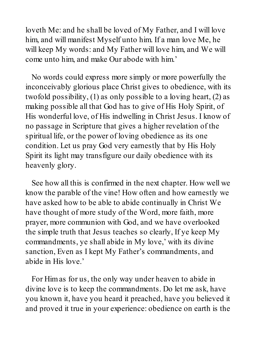loveth Me: and he shall be loved of My Father, and I will love him, and will manifest Myself unto him. If a man love Me, he will keep My words: and My Father will love him, and We will come unto him, and make Our abode with him.'

No words could express more simply or more powerfully the inconceivably glorious place Christ gives to obedience, with its twofold possibility, (1) as only possible to a loving heart, (2) as making possible all that God has to give of His Holy Spirit, of His wonderful love, of His indwelling in Christ Jesus. I know of no passage in Scripture that gives a higher revelation of the spiritual life, or the power of loving obedience as its one condition. Let us pray God very earnestly that by His Holy Spirit its light may transfigure our daily obedience with its heavenly glory.

See how all this is confirmed in the next chapter. How well we know the parable of the vine! How often and how earnestly we have asked how to be able to abide continually in Christ We have thought of more study of the Word, more faith, more prayer, more communion with God, and we have overlooked the simple truth that Jesus teaches so clearly, If ye keep My commandments, ye shall abide in My love,' with its divine sanction, Even as I kept My Father's commandments, and abide in His love.'

For Himas for us, the only way under heaven to abide in divine love is to keep the commandments. Do let me ask, have you known it, have you heard it preached, have you believed it and proved it true in your experience: obedience on earth is the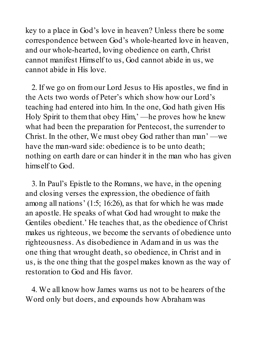key to a place in God's love in heaven? Unless there be some correspondence between God's whole-hearted love in heaven, and our whole-hearted, loving obedience on earth, Christ cannot manifest Himself to us, God cannot abide in us, we cannot abide in His love.

2. If we go on fromour Lord Jesus to His apostles, we find in the Acts two words of Peter's which show how our Lord's teaching had entered into him. In the one, God hath given His Holy Spirit to themthat obey Him,' —he proves how he knew what had been the preparation for Pentecost, the surrender to Christ. In the other, We must obey God rather than man' —we have the man-ward side: obedience is to be unto death; nothing on earth dare or can hinder it in the man who has given himself to God.

3. In Paul's Epistle to the Romans, we have, in the opening and closing verses the expression, the obedience of faith among all nations' (1:5; 16:26), as that for which he was made an apostle. He speaks of what God had wrought to make the Gentiles obedient.' He teaches that, as the obedience of Christ makes us righteous, we become the servants of obedience unto righteousness. As disobedience in Adamand in us was the one thing that wrought death, so obedience, in Christ and in us, is the one thing that the gospel makes known as the way of restoration to God and His favor.

4. We all know how James warns us not to be hearers of the Word only but doers, and expounds how Abrahamwas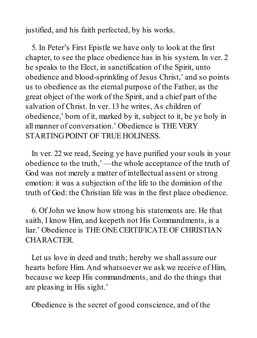justified, and his faith perfected, by his works.

5. In Peter's First Epistle we have only to look at the first chapter, to see the place obedience has in his system. In ver. 2 he speaks to the Elect, in sanctification of the Spirit, unto obedience and blood-sprinkling of Jesus Christ,' and so points us to obedience as the eternal purpose of the Father, as the great object of the work of the Spirit, and a chief part of the salvation of Christ. In ver. 13 he writes, As children of obedience,' born of it, marked by it, subject to it, be ye holy in all manner of conversation.' Obedience is THE VERY STARTINGPOINT OF TRUE HOLINESS.

In ver. 22 we read, Seeing ye have purified your souls in your obedience to the truth,' —the whole acceptance of the truth of God was not merely a matter of intellectual assent or strong emotion: it was a subjection of the life to the dominion of the truth of God: the Christian life was in the first place obedience.

6. Of John we know how strong his statements are. He that saith, I know Him, and keepeth not His Commandments, is a liar.' Obedience is THE ONE CERTIFICATE OF CHRISTIAN **CHARACTER** 

Let us love in deed and truth; hereby we shall assure our hearts before Him. And whatsoever we ask we receive of Him, because we keep His commandments, and do the things that are pleasing in His sight.'

Obedience is the secret of good conscience, and of the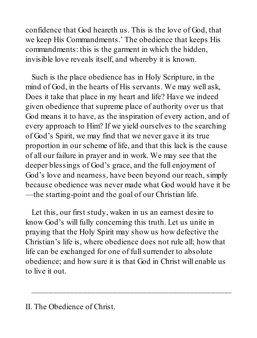confidence that God heareth us. This is the love of God, that we keep His Commandments.' The obedience that keeps His commandments: this is the garment in which the hidden, invisible love reveals itself, and whereby it is known.

Such is the place obedience has in Holy Scripture, in the mind of God, in the hearts of His servants. We may well ask, Does it take that place in my heart and life? Have we indeed given obedience that supreme place of authority over us that God means it to have, as the inspiration of every action, and of every approach to Him? If we yield ourselves to the searching of God's Spirit, we may find that we never gave it its true proportion in our scheme of life, and that this lack is the cause of all our failure in prayer and in work. We may see that the deeper blessings of God's grace, and the full enjoyment of God's love and nearness, have been beyond our reach, simply because obedience was never made what God would have it be —the starting-point and the goal of our Christian life.

Let this, our first study, waken in us an earnest desire to know God's will fully concerning this truth. Let us unite in praying that the Holy Spirit may show us how defective the Christian's life is, where obedience does not rule all; how that life can be exchanged for one of full surrender to absolute obedience; and how sure it is that God in Christ will enable us to live it out.

\_\_\_\_\_\_\_\_\_\_\_\_\_\_\_\_\_\_\_\_\_\_\_\_\_\_\_\_\_\_\_\_\_\_\_\_\_\_\_\_\_\_\_\_\_\_\_\_\_\_\_\_\_\_\_\_\_\_\_\_\_\_\_\_\_\_

II. The Obedience of Christ.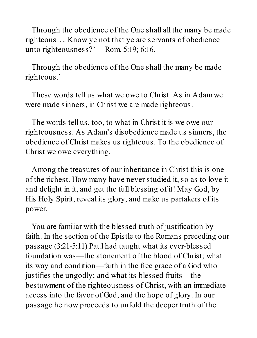Through the obedience of the One shall all the many be made righteous…. Know ye not that ye are servants of obedience unto righteousness?' —Rom. 5:19; 6:16.

Through the obedience of the One shall the many be made righteous.'

These words tell us what we owe to Christ. As in Adamwe were made sinners, in Christ we are made righteous.

The words tell us, too, to what in Christ it is we owe our righteousness. As Adam's disobedience made us sinners, the obedience of Christ makes us righteous. To the obedience of Christ we owe everything.

Among the treasures of our inheritance in Christ this is one of the richest. How many have never studied it, so as to love it and delight in it, and get the full blessing of it! May God, by His Holy Spirit, reveal its glory, and make us partakers of its power.

You are familiar with the blessed truth of justification by faith. In the section of the Epistle to the Romans preceding our passage (3:21-5:11) Paul had taught what its ever-blessed foundation was—the atonement of the blood of Christ; what its way and condition—faith in the free grace of a God who justifies the ungodly; and what its blessed fruits—the bestowment of the righteousness of Christ, with an immediate access into the favor of God, and the hope of glory. In our passage he now proceeds to unfold the deeper truth of the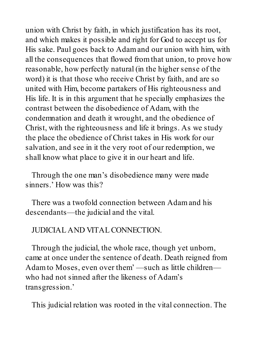union with Christ by faith, in which justification has its root, and which makes it possible and right for God to accept us for His sake. Paul goes back to Adamand our union with him, with all the consequences that flowed fromthat union, to prove how reasonable, how perfectly natural (in the higher sense of the word) it is that those who receive Christ by faith, and are so united with Him, become partakers of His righteousness and His life. It is in this argument that he specially emphasizes the contrast between the disobedience of Adam, with the condemnation and death it wrought, and the obedience of Christ, with the righteousness and life it brings. As we study the place the obedience of Christ takes in His work for our salvation, and see in it the very root of our redemption, we shall know what place to give it in our heart and life.

Through the one man's disobedience many were made sinners<sup>'</sup> How was this?

There was a twofold connection between Adamand his descendants—the judicial and the vital.

JUDICIAL AND VITALCONNECTION.

Through the judicial, the whole race, though yet unborn, came at once under the sentence of death. Death reigned from Adamto Moses, even over them' —such as little children who had not sinned after the likeness of Adam's transgression.'

This judicial relation was rooted in the vital connection. The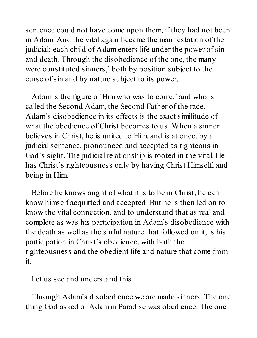sentence could not have come upon them, if they had not been in Adam. And the vital again became the manifestation of the judicial; each child of Adamenters life under the power of sin and death. Through the disobedience of the one, the many were constituted sinners,' both by position subject to the curse of sin and by nature subject to its power.

Adamis the figure of Himwho was to come,' and who is called the Second Adam, the Second Father of the race. Adam's disobedience in its effects is the exact similitude of what the obedience of Christ becomes to us. When a sinner believes in Christ, he is united to Him, and is at once, by a judicial sentence, pronounced and accepted as righteous in God's sight. The judicial relationship is rooted in the vital. He has Christ's righteousness only by having Christ Himself, and being in Him.

Before he knows aught of what it is to be in Christ, he can know himself acquitted and accepted. But he is then led on to know the vital connection, and to understand that as real and complete as was his participation in Adam's disobedience with the death as well as the sinful nature that followed on it, is his participation in Christ's obedience, with both the righteousness and the obedient life and nature that come from it.

Let us see and understand this:

Through Adam's disobedience we are made sinners. The one thing God asked of Adamin Paradise was obedience. The one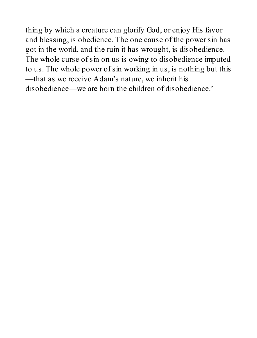thing by which a creature can glorify God, or enjoy His favor and blessing, is obedience. The one cause of the power sin has got in the world, and the ruin it has wrought, is disobedience. The whole curse of sin on us is owing to disobedience imputed to us. The whole power of sin working in us, is nothing but this —that as we receive Adam's nature, we inherit his disobedience—we are born the children of disobedience.'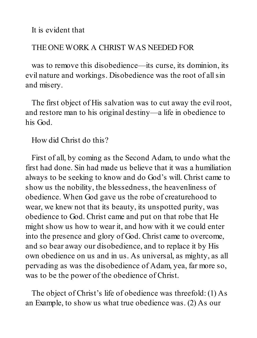It is evident that

#### THE ONE WORK A CHRIST WAS NEEDED FOR

was to remove this disobedience—its curse, its dominion, its evil nature and workings. Disobedience was the root of allsin and misery.

The first object of His salvation was to cut away the evil root, and restore man to his original destiny—a life in obedience to his God.

How did Christ do this?

First of all, by coming as the Second Adam, to undo what the first had done. Sin had made us believe that it was a humiliation always to be seeking to know and do God's will. Christ came to show us the nobility, the blessedness, the heavenliness of obedience. When God gave us the robe of creaturehood to wear, we knew not that its beauty, its unspotted purity, was obedience to God. Christ came and put on that robe that He might show us how to wear it, and how with it we could enter into the presence and glory of God. Christ came to overcome, and so bear away our disobedience, and to replace it by His own obedience on us and in us. As universal, as mighty, as all pervading as was the disobedience of Adam, yea, far more so, was to be the power of the obedience of Christ.

The object of Christ's life of obedience was threefold: (1) As an Example, to show us what true obedience was. (2) As our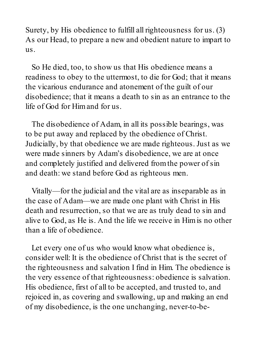Surety, by His obedience to fulfill all righteousness for us. (3) As our Head, to prepare a new and obedient nature to impart to us.

So He died, too, to show us that His obedience means a readiness to obey to the uttermost, to die for God; that it means the vicarious endurance and atonement of the guilt of our disobedience; that it means a death to sin as an entrance to the life of God for Himand for us.

The disobedience of Adam, in all its possible bearings, was to be put away and replaced by the obedience of Christ. Judicially, by that obedience we are made righteous. Just as we were made sinners by Adam's disobedience, we are at once and completely justified and delivered fromthe power of sin and death: we stand before God as righteous men.

Vitally—for the judicial and the vital are as inseparable as in the case of Adam—we are made one plant with Christ in His death and resurrection, so that we are as truly dead to sin and alive to God, as He is. And the life we receive in Himis no other than a life of obedience.

Let every one of us who would know what obedience is, consider well: It is the obedience of Christ that is the secret of the righteousness and salvation I find in Him. The obedience is the very essence of that righteousness: obedience is salvation. His obedience, first of all to be accepted, and trusted to, and rejoiced in, as covering and swallowing, up and making an end of my disobedience, is the one unchanging, never-to-be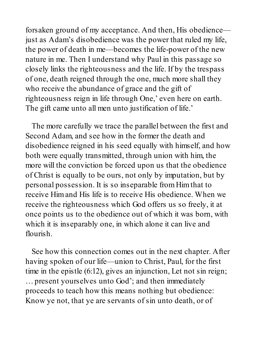forsaken ground of my acceptance. And then, His obedience just as Adam's disobedience was the power that ruled my life, the power of death in me—becomes the life-power of the new nature in me. Then I understand why Paul in this passage so closely links the righteousness and the life. If by the trespass of one, death reigned through the one, much more shall they who receive the abundance of grace and the gift of righteousness reign in life through One,' even here on earth. The gift came unto all men unto justification of life.'

The more carefully we trace the parallel between the first and Second Adam, and see how in the former the death and disobedience reigned in his seed equally with himself, and how both were equally transmitted, through union with him, the more will the conviction be forced upon us that the obedience of Christ is equally to be ours, not only by imputation, but by personal possession. It is so inseparable fromHimthat to receive Himand His life is to receive His obedience. When we receive the righteousness which God offers us so freely, it at once points us to the obedience out of which it was born, with which it is inseparably one, in which alone it can live and flourish.

See how this connection comes out in the next chapter. After having spoken of our life—union to Christ, Paul, for the first time in the epistle (6:12), gives an injunction, Let not sin reign; …present yourselves unto God'; and then immediately proceeds to teach how this means nothing but obedience: Know ye not, that ye are servants of sin unto death, or of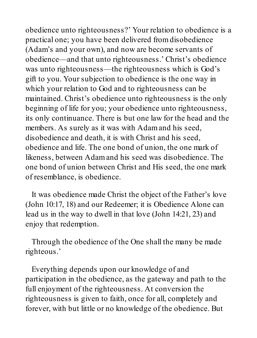obedience unto righteousness?' Your relation to obedience is a practical one; you have been delivered fromdisobedience (Adam's and your own), and now are become servants of obedience—and that unto righteousness.' Christ's obedience was unto righteousness—the righteousness which is God's gift to you. Your subjection to obedience is the one way in which your relation to God and to righteousness can be maintained. Christ's obedience unto righteousness is the only beginning of life for you; your obedience unto righteousness, its only continuance. There is but one law for the head and the members. As surely as it was with Adamand his seed, disobedience and death, it is with Christ and his seed, obedience and life. The one bond of union, the one mark of likeness, between Adamand his seed was disobedience. The one bond of union between Christ and His seed, the one mark of resemblance, is obedience.

It was obedience made Christ the object of the Father's love (John 10:17, 18) and our Redeemer; it is Obedience Alone can lead us in the way to dwell in that love (John 14:21, 23) and enjoy that redemption.

Through the obedience of the One shall the many be made righteous<sup>?</sup>

Everything depends upon our knowledge of and participation in the obedience, as the gateway and path to the full enjoyment of the righteousness. At conversion the righteousness is given to faith, once for all, completely and forever, with but little or no knowledge of the obedience. But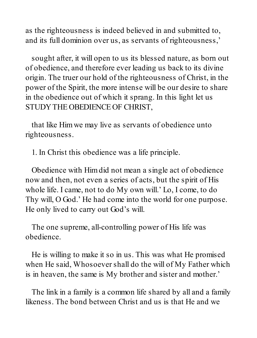as the righteousness is indeed believed in and submitted to, and its full dominion over us, as servants of righteousness,'

sought after, it will open to us its blessed nature, as born out of obedience, and therefore ever leading us back to its divine origin. The truer our hold of the righteousness of Christ, in the power of the Spirit, the more intense will be our desire to share in the obedience out of which it sprang. In this light let us STUDYTHE OBEDIENCE OF CHRIST,

that like Himwe may live as servants of obedience unto righteousness.

1. In Christ this obedience was a life principle.

Obedience with Himdid not mean a single act of obedience now and then, not even a series of acts, but the spirit of His whole life. I came, not to do My own will.' Lo, I come, to do Thy will, O God.' He had come into the world for one purpose. He only lived to carry out God's will.

The one supreme, all-controlling power of His life was obedience.

He is willing to make it so in us. This was what He promised when He said, Whosoever shall do the will of My Father which is in heaven, the same is My brother and sister and mother.'

The link in a family is a common life shared by all and a family likeness. The bond between Christ and us is that He and we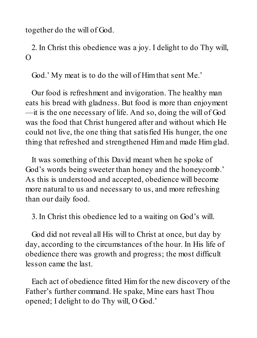together do the will of God.

2. In Christ this obedience was a joy. I delight to do Thy will,  $\Omega$ 

God.' My meat is to do the will of Himthat sent Me.'

Our food is refreshment and invigoration. The healthy man eats his bread with gladness. But food is more than enjoyment —it is the one necessary of life. And so, doing the will of God was the food that Christ hungered after and without which He could not live, the one thing that satisfied His hunger, the one thing that refreshed and strengthened Himand made Himglad.

It was something of this David meant when he spoke of God's words being sweeter than honey and the honeycomb.' As this is understood and accepted, obedience will become more natural to us and necessary to us, and more refreshing than our daily food.

3. In Christ this obedience led to a waiting on God's will.

God did not reveal all His will to Christ at once, but day by day, according to the circumstances of the hour. In His life of obedience there was growth and progress; the most difficult lesson came the last.

Each act of obedience fitted Himfor the new discovery of the Father's further command. He spake, Mine ears hast Thou opened; I delight to do Thy will, O God.'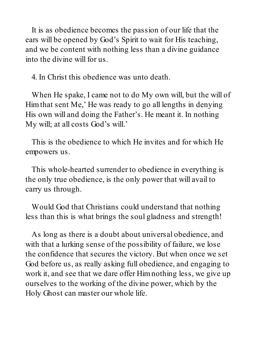It is as obedience becomes the passion of our life that the ears will be opened by God's Spirit to wait for His teaching, and we be content with nothing less than a divine guidance into the divine will for us.

4. In Christ this obedience was unto death.

When He spake, I came not to do My own will, but the will of Himthat sent Me,' He was ready to go all lengths in denying His own will and doing the Father's. He meant it. In nothing My will; at all costs God's will.'

This is the obedience to which He invites and for which He empowers us.

This whole-hearted surrender to obedience in everything is the only true obedience, is the only power that will avail to carry us through.

Would God that Christians could understand that nothing less than this is what brings the soul gladness and strength!

As long as there is a doubt about universal obedience, and with that a lurking sense of the possibility of failure, we lose the confidence that secures the victory. But when once we set God before us, as really asking full obedience, and engaging to work it, and see that we dare offer Himnothing less, we give up ourselves to the working of the divine power, which by the Holy Ghost can master our whole life.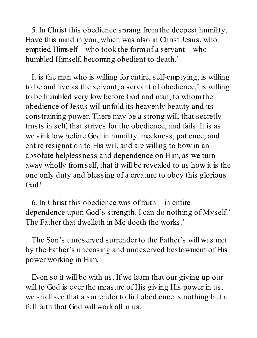5. In Christ this obedience sprang fromthe deepest humility. Have this mind in you, which was also in Christ Jesus, who emptied Himself—who took the formof a servant—who humbled Himself, becoming obedient to death.'

It is the man who is willing for entire, self-emptying, is willing to be and live as the servant, a servant of obedience,' is willing to be humbled very low before God and man, to whomthe obedience of Jesus will unfold its heavenly beauty and its constraining power. There may be a strong will, that secretly trusts in self, that strives for the obedience, and fails. It is as we sink low before God in humility, meekness, patience, and entire resignation to His will, and are willing to bow in an absolute helplessness and dependence on Him, as we turn away wholly fromself, that it will be revealed to us how it is the one only duty and blessing of a creature to obey this glorious God!

6. In Christ this obedience was of faith—in entire dependence upon God's strength. I can do nothing of Myself.' The Father that dwelleth in Me doeth the works.'

The Son's unreserved surrender to the Father's will was met by the Father's unceasing and undeserved bestowment of His power working in Him.

Even so it will be with us. If we learn that our giving up our will to God is ever the measure of His giving His power in us, we shallsee that a surrender to full obedience is nothing but a full faith that God will work all in us.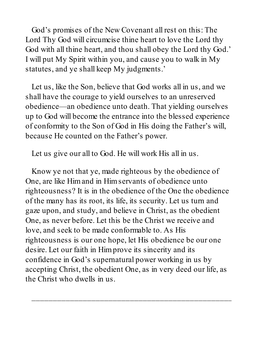God's promises of the New Covenant all rest on this: The Lord Thy God will circumcise thine heart to love the Lord thy God with all thine heart, and thou shall obey the Lord thy God.' I will put My Spirit within you, and cause you to walk in My statutes, and ye shall keep My judgments.'

Let us, like the Son, believe that God works all in us, and we shall have the courage to yield ourselves to an unreserved obedience—an obedience unto death. That yielding ourselves up to God will become the entrance into the blessed experience of conformity to the Son of God in His doing the Father's will, because He counted on the Father's power.

Let us give our all to God. He will work His all in us.

Know ye not that ye, made righteous by the obedience of One, are like Himand in Himservants of obedience unto righteousness? It is in the obedience of the One the obedience of the many has its root, its life, its security. Let us turn and gaze upon, and study, and believe in Christ, as the obedient One, as never before. Let this be the Christ we receive and love, and seek to be made conformable to. As His righteousness is our one hope, let His obedience be our one desire. Let our faith in Himprove its sincerity and its confidence in God's supernatural power working in us by accepting Christ, the obedient One, as in very deed our life, as the Christ who dwells in us.

\_\_\_\_\_\_\_\_\_\_\_\_\_\_\_\_\_\_\_\_\_\_\_\_\_\_\_\_\_\_\_\_\_\_\_\_\_\_\_\_\_\_\_\_\_\_\_\_\_\_\_\_\_\_\_\_\_\_\_\_\_\_\_\_\_\_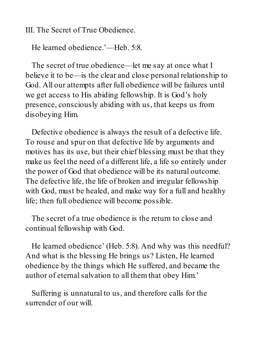III. The Secret of True Obedience.

He learned obedience.'—Heb. 5:8.

The secret of true obedience—let me say at once what I believe it to be—is the clear and close personal relationship to God. All our attempts after full obedience will be failures until we get access to His abiding fellowship. It is God's holy presence, consciously abiding with us, that keeps us from disobeying Him.

Defective obedience is always the result of a defective life. To rouse and spur on that defective life by arguments and motives has its use, but their chief blessing must be that they make us feel the need of a different life, a life so entirely under the power of God that obedience will be its natural outcome. The defective life, the life of broken and irregular fellowship with God, must be healed, and make way for a full and healthy life; then full obedience will become possible.

The secret of a true obedience is the return to close and continual fellowship with God.

He learned obedience' (Heb. 5:8). And why was this needful? And what is the blessing He brings us? Listen, He learned obedience by the things which He suffered, and became the author of eternal salvation to all them that obey Him.'

Suffering is unnatural to us, and therefore calls for the surrender of our will.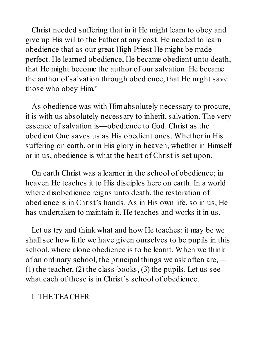Christ needed suffering that in it He might learn to obey and give up His will to the Father at any cost. He needed to learn obedience that as our great High Priest He might be made perfect. He learned obedience, He became obedient unto death, that He might become the author of our salvation. He became the author of salvation through obedience, that He might save those who obey Him.'

As obedience was with Himabsolutely necessary to procure, it is with us absolutely necessary to inherit, salvation. The very essence of salvation is—obedience to God. Christ as the obedient One saves us as His obedient ones. Whether in His suffering on earth, or in His glory in heaven, whether in Himself or in us, obedience is what the heart of Christ is set upon.

On earth Christ was a learner in the school of obedience; in heaven He teaches it to His disciples here on earth. In a world where disobedience reigns unto death, the restoration of obedience is in Christ's hands. As in His own life, so in us, He has undertaken to maintain it. He teaches and works it in us.

Let us try and think what and how He teaches: it may be we shallsee how little we have given ourselves to be pupils in this school, where alone obedience is to be learnt. When we think of an ordinary school, the principal things we ask often are,— (1) the teacher, (2) the class-books, (3) the pupils. Let us see what each of these is in Christ's school of obedience.

#### I. THE TEACHER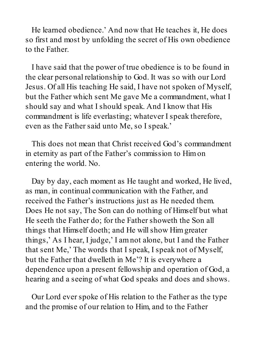He learned obedience.' And now that He teaches it, He does so first and most by unfolding the secret of His own obedience to the Father.

I have said that the power of true obedience is to be found in the clear personal relationship to God. It was so with our Lord Jesus. Of all His teaching He said, I have not spoken of Myself, but the Father which sent Me gave Me a commandment, what I should say and what I should speak. And I know that His commandment is life everlasting; whatever I speak therefore, even as the Father said unto Me, so I speak.'

This does not mean that Christ received God's commandment in eternity as part of the Father's commission to Himon entering the world. No.

Day by day, each moment as He taught and worked, He lived, as man, in continual communication with the Father, and received the Father's instructions just as He needed them. Does He not say, The Son can do nothing of Himself but what He seeth the Father do; for the Father showeth the Son all things that Himself doeth; and He willshow Himgreater things,' As I hear, I judge,' I amnot alone, but I and the Father that sent Me,' The words that I speak, I speak not of Myself, but the Father that dwelleth in Me'? It is everywhere a dependence upon a present fellowship and operation of God, a hearing and a seeing of what God speaks and does and shows.

Our Lord ever spoke of His relation to the Father as the type and the promise of our relation to Him, and to the Father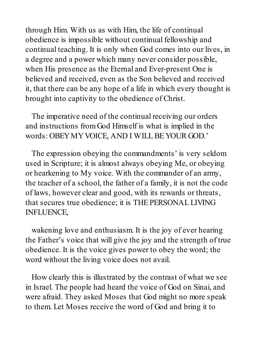through Him. With us as with Him, the life of continual obedience is impossible without continual fellowship and continual teaching. It is only when God comes into our lives, in a degree and a power which many never consider possible, when His presence as the Eternal and Ever-present One is believed and received, even as the Son believed and received it, that there can be any hope of a life in which every thought is brought into captivity to the obedience of Christ.

The imperative need of the continual receiving our orders and instructions fromGod Himself is what is implied in the words: OBEYMYVOICE, AND I WILLBE YOUR GOD.'

The expression obeying the commandments' is very seldom used in Scripture; it is almost always obeying Me, or obeying or hearkening to My voice. With the commander of an army, the teacher of a school, the father of a family, it is not the code of laws, however clear and good, with its rewards or threats, that secures true obedience; it is THE PERSONAL LIVING INFLUENCE,

wakening love and enthusiasm. It is the joy of ever hearing the Father's voice that will give the joy and the strength of true obedience. It is the voice gives power to obey the word; the word without the living voice does not avail.

How clearly this is illustrated by the contrast of what we see in Israel. The people had heard the voice of God on Sinai, and were afraid. They asked Moses that God might no more speak to them. Let Moses receive the word of God and bring it to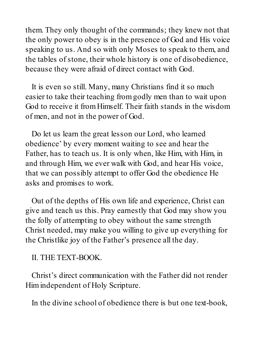them. They only thought of the commands; they knew not that the only power to obey is in the presence of God and His voice speaking to us. And so with only Moses to speak to them, and the tables of stone, their whole history is one of disobedience, because they were afraid of direct contact with God.

It is even so still. Many, many Christians find it so much easier to take their teaching fromgodly men than to wait upon God to receive it fromHimself. Their faith stands in the wisdom of men, and not in the power of God.

Do let us learn the great lesson our Lord, who learned obedience' by every moment waiting to see and hear the Father, has to teach us. It is only when, like Him, with Him, in and through Him, we ever walk with God, and hear His voice, that we can possibly attempt to offer God the obedience He asks and promises to work.

Out of the depths of His own life and experience, Christ can give and teach us this. Pray earnestly that God may show you the folly of attempting to obey without the same strength Christ needed, may make you willing to give up everything for the Christlike joy of the Father's presence all the day.

#### II. THE TEXT-BOOK.

Christ's direct communication with the Father did not render Himindependent of Holy Scripture.

In the divine school of obedience there is but one text-book,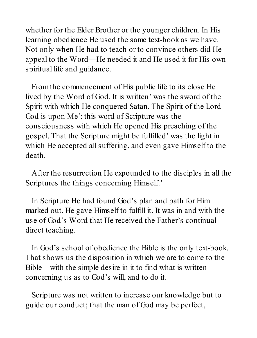whether for the Elder Brother or the younger children. In His learning obedience He used the same text-book as we have. Not only when He had to teach or to convince others did He appeal to the Word—He needed it and He used it for His own spiritual life and guidance.

Fromthe commencement of His public life to its close He lived by the Word of God. It is written' was the sword of the Spirit with which He conquered Satan. The Spirit of the Lord God is upon Me': this word of Scripture was the consciousness with which He opened His preaching of the gospel. That the Scripture might be fulfilled' was the light in which He accepted all suffering, and even gave Himself to the death.

After the resurrection He expounded to the disciples in all the Scriptures the things concerning Himself.'

In Scripture He had found God's plan and path for Him marked out. He gave Himself to fulfill it. It was in and with the use of God's Word that He received the Father's continual direct teaching.

In God's school of obedience the Bible is the only text-book. That shows us the disposition in which we are to come to the Bible—with the simple desire in it to find what is written concerning us as to God's will, and to do it.

Scripture was not written to increase our knowledge but to guide our conduct; that the man of God may be perfect,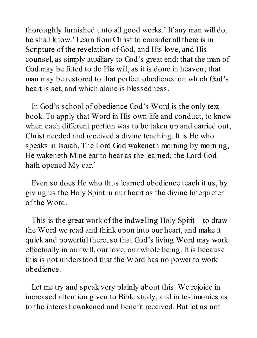thoroughly furnished unto all good works.' If any man will do, he shall know.' Learn fromChrist to consider all there is in Scripture of the revelation of God, and His love, and His counsel, as simply auxiliary to God's great end: that the man of God may be fitted to do His will, as it is done in heaven; that man may be restored to that perfect obedience on which God's heart is set, and which alone is blessedness.

In God's school of obedience God's Word is the only textbook. To apply that Word in His own life and conduct, to know when each different portion was to be taken up and carried out, Christ needed and received a divine teaching. It is He who speaks in Isaiah, The Lord God wakeneth morning by morning, He wakeneth Mine ear to hear as the learned; the Lord God hath opened My ear.'

Even so does He who thus learned obedience teach it us, by giving us the Holy Spirit in our heart as the divine Interpreter of the Word.

This is the great work of the indwelling Holy Spirit—to draw the Word we read and think upon into our heart, and make it quick and powerful there, so that God's living Word may work effectually in our will, our love, our whole being. It is because this is not understood that the Word has no power to work obedience.

Let me try and speak very plainly about this. We rejoice in increased attention given to Bible study, and in testimonies as to the interest awakened and benefit received. But let us not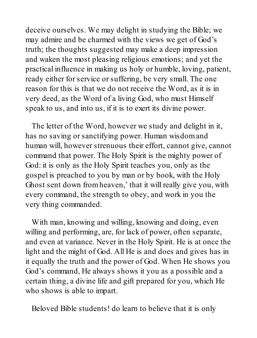deceive ourselves. We may delight in studying the Bible; we may admire and be charmed with the views we get of God's truth; the thoughts suggested may make a deep impression and waken the most pleasing religious emotions; and yet the practical influence in making us holy or humble, loving, patient, ready either for service or suffering, be very small. The one reason for this is that we do not receive the Word, as it is in very deed, as the Word of a living God, who must Himself speak to us, and into us, if it is to exert its divine power.

The letter of the Word, however we study and delight in it, has no saving or sanctifying power. Human wisdomand human will, however strenuous their effort, cannot give, cannot command that power. The Holy Spirit is the mighty power of God: it is only as the Holy Spirit teaches you, only as the gospel is preached to you by man or by book, with the Holy Ghost sent down fromheaven,' that it will really give you, with every command, the strength to obey, and work in you the very thing commanded.

With man, knowing and willing, knowing and doing, even willing and performing, are, for lack of power, often separate, and even at variance. Never in the Holy Spirit. He is at once the light and the might of God. All He is and does and gives has in it equally the truth and the power of God. When He shows you God's command, He always shows it you as a possible and a certain thing, a divine life and gift prepared for you, which He who shows is able to impart.

Beloved Bible students! do learn to believe that it is only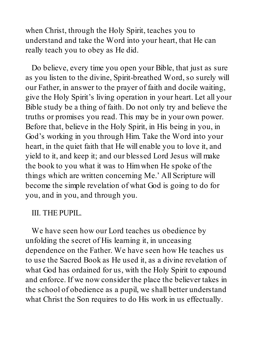when Christ, through the Holy Spirit, teaches you to understand and take the Word into your heart, that He can really teach you to obey as He did.

Do believe, every time you open your Bible, that just as sure as you listen to the divine, Spirit-breathed Word, so surely will our Father, in answer to the prayer of faith and docile waiting, give the Holy Spirit's living operation in your heart. Let all your Bible study be a thing of faith. Do not only try and believe the truths or promises you read. This may be in your own power. Before that, believe in the Holy Spirit, in His being in you, in God's working in you through Him. Take the Word into your heart, in the quiet faith that He will enable you to love it, and yield to it, and keep it; and our blessed Lord Jesus will make the book to you what it was to Himwhen He spoke of the things which are written concerning Me.' All Scripture will become the simple revelation of what God is going to do for you, and in you, and through you.

III. THE PUPIL.

We have seen how our Lord teaches us obedience by unfolding the secret of His learning it, in unceasing dependence on the Father. We have seen how He teaches us to use the Sacred Book as He used it, as a divine revelation of what God has ordained for us, with the Holy Spirit to expound and enforce. If we now consider the place the believer takes in the school of obedience as a pupil, we shall better understand what Christ the Son requires to do His work in us effectually.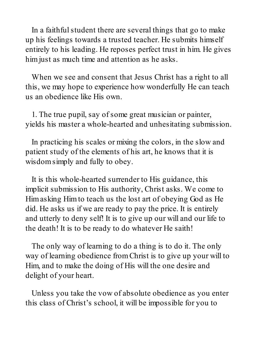In a faithfulstudent there are several things that go to make up his feelings towards a trusted teacher. He submits himself entirely to his leading. He reposes perfect trust in him. He gives him just as much time and attention as he asks.

When we see and consent that Jesus Christ has a right to all this, we may hope to experience how wonderfully He can teach us an obedience like His own.

1. The true pupil, say of some great musician or painter, yields his master a whole-hearted and unhesitating submission.

In practicing his scales or mixing the colors, in the slow and patient study of the elements of his art, he knows that it is wisdomsimply and fully to obey.

It is this whole-hearted surrender to His guidance, this implicit submission to His authority, Christ asks. We come to Himasking Himto teach us the lost art of obeying God as He did. He asks us if we are ready to pay the price. It is entirely and utterly to deny self! It is to give up our will and our life to the death! It is to be ready to do whatever He saith!

The only way of learning to do a thing is to do it. The only way of learning obedience fromChrist is to give up your will to Him, and to make the doing of His will the one desire and delight of your heart.

Unless you take the vow of absolute obedience as you enter this class of Christ's school, it will be impossible for you to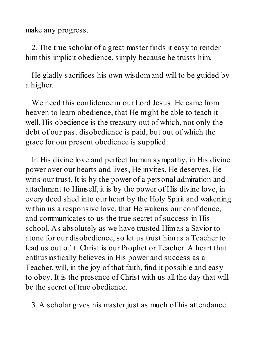make any progress.

2. The true scholar of a great master finds it easy to render himthis implicit obedience, simply because he trusts him.

He gladly sacrifices his own wisdomand will to be guided by a higher.

We need this confidence in our Lord Jesus. He came from heaven to learn obedience, that He might be able to teach it well. His obedience is the treasury out of which, not only the debt of our past disobedience is paid, but out of which the grace for our present obedience is supplied.

In His divine love and perfect human sympathy, in His divine power over our hearts and lives, He invites, He deserves, He wins our trust. It is by the power of a personal admiration and attachment to Himself, it is by the power of His divine love, in every deed shed into our heart by the Holy Spirit and wakening within us a responsive love, that He wakens our confidence. and communicates to us the true secret of success in His school. As absolutely as we have trusted Himas a Savior to atone for our disobedience, so let us trust himas a Teacher to lead us out of it. Christ is our Prophet or Teacher. A heart that enthusiastically believes in His power and success as a Teacher, will, in the joy of that faith, find it possible and easy to obey. It is the presence of Christ with us all the day that will be the secret of true obedience.

3. A scholar gives his master just as much of his attendance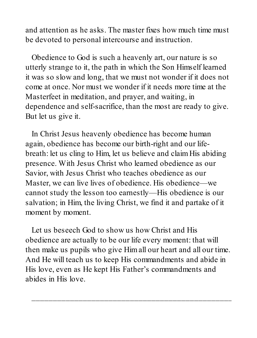and attention as he asks. The master fixes how much time must be devoted to personal intercourse and instruction.

Obedience to God is such a heavenly art, our nature is so utterly strange to it, the path in which the Son Himself learned it was so slow and long, that we must not wonder if it does not come at once. Nor must we wonder if it needs more time at the Masterfeet in meditation, and prayer, and waiting, in dependence and self-sacrifice, than the most are ready to give. But let us give it.

In Christ Jesus heavenly obedience has become human again, obedience has become our birth-right and our lifebreath: let us cling to Him, let us believe and claimHis abiding presence. With Jesus Christ who learned obedience as our Savior, with Jesus Christ who teaches obedience as our Master, we can live lives of obedience. His obedience—we cannot study the lesson too earnestly—His obedience is our salvation; in Him, the living Christ, we find it and partake of it moment by moment.

Let us beseech God to show us how Christ and His obedience are actually to be our life every moment: that will then make us pupils who give Himall our heart and all our time. And He will teach us to keep His commandments and abide in His love, even as He kept His Father's commandments and abides in His love.

\_\_\_\_\_\_\_\_\_\_\_\_\_\_\_\_\_\_\_\_\_\_\_\_\_\_\_\_\_\_\_\_\_\_\_\_\_\_\_\_\_\_\_\_\_\_\_\_\_\_\_\_\_\_\_\_\_\_\_\_\_\_\_\_\_\_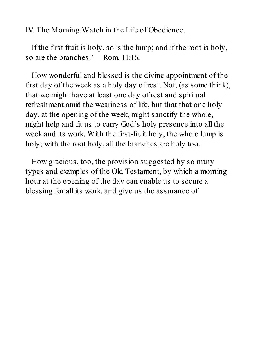IV. The Morning Watch in the Life of Obedience.

If the first fruit is holy, so is the lump; and if the root is holy, so are the branches.<sup>'</sup> —Rom. 11:16.

How wonderful and blessed is the divine appointment of the first day of the week as a holy day of rest. Not, (as some think), that we might have at least one day of rest and spiritual refreshment amid the weariness of life, but that that one holy day, at the opening of the week, might sanctify the whole, might help and fit us to carry God's holy presence into all the week and its work. With the first-fruit holy, the whole lump is holy; with the root holy, all the branches are holy too.

How gracious, too, the provision suggested by so many types and examples of the Old Testament, by which a morning hour at the opening of the day can enable us to secure a blessing for all its work, and give us the assurance of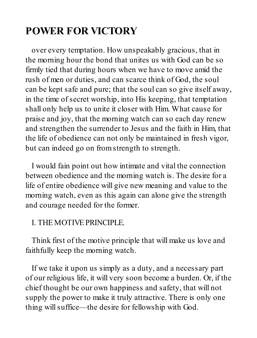# **POWER FOR VICTORY**

over every temptation. How unspeakably gracious, that in the morning hour the bond that unites us with God can be so firmly tied that during hours when we have to move amid the rush of men or duties, and can scarce think of God, the soul can be kept safe and pure; that the soul can so give itself away, in the time of secret worship, into His keeping, that temptation shall only help us to unite it closer with Him. What cause for praise and joy, that the morning watch can so each day renew and strengthen the surrender to Jesus and the faith in Him, that the life of obedience can not only be maintained in fresh vigor, but can indeed go on fromstrength to strength.

I would fain point out how intimate and vital the connection between obedience and the morning watch is. The desire for a life of entire obedience will give new meaning and value to the morning watch, even as this again can alone give the strength and courage needed for the former.

## I. THE MOTIVE PRINCIPLE.

Think first of the motive principle that will make us love and faithfully keep the morning watch.

If we take it upon us simply as a duty, and a necessary part of our religious life, it will very soon become a burden. Or, if the chief thought be our own happiness and safety, that will not supply the power to make it truly attractive. There is only one thing willsuffice—the desire for fellowship with God.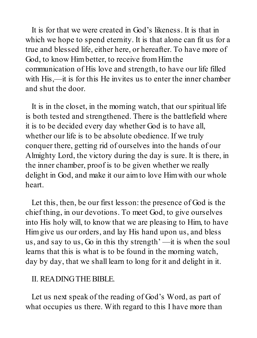It is for that we were created in God's likeness. It is that in which we hope to spend eternity. It is that alone can fit us for a true and blessed life, either here, or hereafter. To have more of God, to know Himbetter, to receive from Him the communication of His love and strength, to have our life filled with His,—it is for this He invites us to enter the inner chamber and shut the door.

It is in the closet, in the morning watch, that our spiritual life is both tested and strengthened. There is the battlefield where it is to be decided every day whether God is to have all, whether our life is to be absolute obedience. If we truly conquer there, getting rid of ourselves into the hands of our Almighty Lord, the victory during the day is sure. It is there, in the inner chamber, proof is to be given whether we really delight in God, and make it our aimto love Himwith our whole heart.

Let this, then, be our first lesson: the presence of God is the chief thing, in our devotions. To meet God, to give ourselves into His holy will, to know that we are pleasing to Him, to have Himgive us our orders, and lay His hand upon us, and bless us, and say to us, Go in this thy strength' —it is when the soul learns that this is what is to be found in the morning watch, day by day, that we shall learn to long for it and delight in it.

#### IL READING THE BIBLE.

Let us next speak of the reading of God's Word, as part of what occupies us there. With regard to this I have more than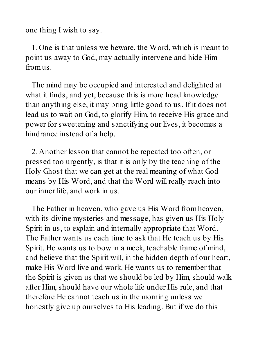one thing I wish to say.

1. One is that unless we beware, the Word, which is meant to point us away to God, may actually intervene and hide Him fromus.

The mind may be occupied and interested and delighted at what it finds, and yet, because this is more head knowledge than anything else, it may bring little good to us. If it does not lead us to wait on God, to glorify Him, to receive His grace and power for sweetening and sanctifying our lives, it becomes a hindrance instead of a help.

2. Another lesson that cannot be repeated too often, or pressed too urgently, is that it is only by the teaching of the Holy Ghost that we can get at the real meaning of what God means by His Word, and that the Word will really reach into our inner life, and work in us.

The Father in heaven, who gave us His Word fromheaven, with its divine mysteries and message, has given us His Holy Spirit in us, to explain and internally appropriate that Word. The Father wants us each time to ask that He teach us by His Spirit. He wants us to bow in a meek, teachable frame of mind, and believe that the Spirit will, in the hidden depth of our heart, make His Word live and work. He wants us to remember that the Spirit is given us that we should be led by Him, should walk after Him, should have our whole life under His rule, and that therefore He cannot teach us in the morning unless we honestly give up ourselves to His leading. But if we do this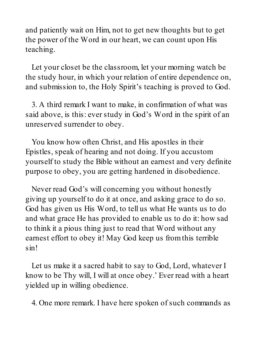and patiently wait on Him, not to get new thoughts but to get the power of the Word in our heart, we can count upon His teaching.

Let your closet be the classroom, let your morning watch be the study hour, in which your relation of entire dependence on, and submission to, the Holy Spirit's teaching is proved to God.

3. A third remark I want to make, in confirmation of what was said above, is this: ever study in God's Word in the spirit of an unreserved surrender to obey.

You know how often Christ, and His apostles in their Epistles, speak of hearing and not doing. If you accustom yourself to study the Bible without an earnest and very definite purpose to obey, you are getting hardened in disobedience.

Never read God's will concerning you without honestly giving up yourself to do it at once, and asking grace to do so. God has given us His Word, to tell us what He wants us to do and what grace He has provided to enable us to do it: how sad to think it a pious thing just to read that Word without any earnest effort to obey it! May God keep us fromthis terrible sin!

Let us make it a sacred habit to say to God, Lord, whatever I know to be Thy will, I will at once obey.' Ever read with a heart yielded up in willing obedience.

4. One more remark. I have here spoken of such commands as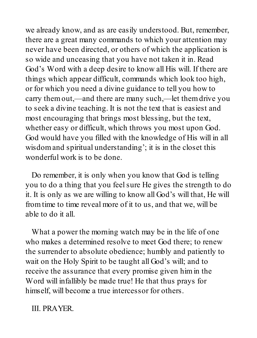we already know, and as are easily understood. But, remember, there are a great many commands to which your attention may never have been directed, or others of which the application is so wide and unceasing that you have not taken it in. Read God's Word with a deep desire to know all His will. If there are things which appear difficult, commands which look too high, or for which you need a divine guidance to tell you how to carry themout,—and there are many such,—let themdrive you to seek a divine teaching. It is not the text that is easiest and most encouraging that brings most blessing, but the text, whether easy or difficult, which throws you most upon God. God would have you filled with the knowledge of His will in all wisdomand spiritual understanding'; it is in the closet this wonderful work is to be done.

Do remember, it is only when you know that God is telling you to do a thing that you feelsure He gives the strength to do it. It is only as we are willing to know all God's will that, He will fromtime to time reveal more of it to us, and that we, will be able to do it all.

What a power the morning watch may be in the life of one who makes a determined resolve to meet God there; to renew the surrender to absolute obedience; humbly and patiently to wait on the Holy Spirit to be taught all God's will; and to receive the assurance that every promise given himin the Word will infallibly be made true! He that thus prays for himself, will become a true intercessor for others.

III. PRAYER.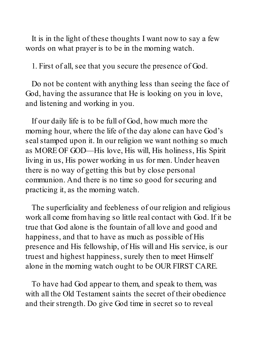It is in the light of these thoughts I want now to say a few words on what prayer is to be in the morning watch.

1. First of all, see that you secure the presence of God.

Do not be content with anything less than seeing the face of God, having the assurance that He is looking on you in love, and listening and working in you.

If our daily life is to be full of God, how much more the morning hour, where the life of the day alone can have God's seal stamped upon it. In our religion we want nothing so much as MORE OF GOD—His love, His will, His holiness, His Spirit living in us, His power working in us for men. Under heaven there is no way of getting this but by close personal communion. And there is no time so good for securing and practicing it, as the morning watch.

The superficiality and feebleness of our religion and religious work all come fromhaving so little real contact with God. If it be true that God alone is the fountain of all love and good and happiness, and that to have as much as possible of His presence and His fellowship, of His will and His service, is our truest and highest happiness, surely then to meet Himself alone in the morning watch ought to be OUR FIRST CARE.

To have had God appear to them, and speak to them, was with all the Old Testament saints the secret of their obedience and their strength. Do give God time in secret so to reveal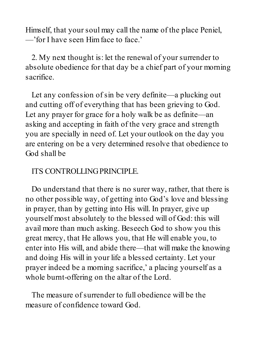Himself, that your soul may call the name of the place Peniel, —'for I have seen Himface to face.'

2. My next thought is: let the renewal of your surrender to absolute obedience for that day be a chief part of your morning sacrifice.

Let any confession of sin be very definite—a plucking out and cutting off of everything that has been grieving to God. Let any prayer for grace for a holy walk be as definite—an asking and accepting in faith of the very grace and strength you are specially in need of. Let your outlook on the day you are entering on be a very determined resolve that obedience to God shall be

## ITS CONTROLLING PRINCIPLE.

Do understand that there is no surer way, rather, that there is no other possible way, of getting into God's love and blessing in prayer, than by getting into His will. In prayer, give up yourself most absolutely to the blessed will of God: this will avail more than much asking. Beseech God to show you this great mercy, that He allows you, that He will enable you, to enter into His will, and abide there—that will make the knowing and doing His will in your life a blessed certainty. Let your prayer indeed be a morning sacrifice,' a placing yourself as a whole burnt-offering on the altar of the Lord.

The measure of surrender to full obedience will be the measure of confidence toward God.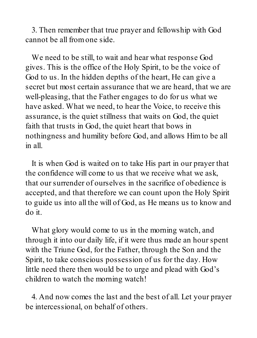3. Then remember that true prayer and fellowship with God cannot be all fromone side.

We need to be still, to wait and hear what response God gives. This is the office of the Holy Spirit, to be the voice of God to us. In the hidden depths of the heart, He can give a secret but most certain assurance that we are heard, that we are well-pleasing, that the Father engages to do for us what we have asked. What we need, to hear the Voice, to receive this assurance, is the quiet stillness that waits on God, the quiet faith that trusts in God, the quiet heart that bows in nothingness and humility before God, and allows Himto be all in all.

It is when God is waited on to take His part in our prayer that the confidence will come to us that we receive what we ask, that our surrender of ourselves in the sacrifice of obedience is accepted, and that therefore we can count upon the Holy Spirit to guide us into all the will of God, as He means us to know and do it.

What glory would come to us in the morning watch, and through it into our daily life, if it were thus made an hour spent with the Triune God, for the Father, through the Son and the Spirit, to take conscious possession of us for the day. How little need there then would be to urge and plead with God's children to watch the morning watch!

4. And now comes the last and the best of all. Let your prayer be intercessional, on behalf of others.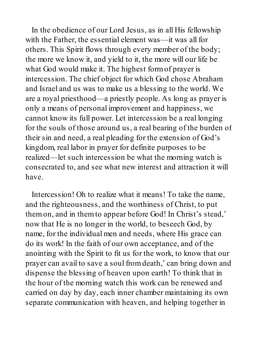In the obedience of our Lord Jesus, as in all His fellowship with the Father, the essential element was—it was all for others. This Spirit flows through every member of the body; the more we know it, and yield to it, the more will our life be what God would make it. The highest formof prayer is intercession. The chief object for which God chose Abraham and Israel and us was to make us a blessing to the world. We are a royal priesthood—a priestly people. As long as prayer is only a means of personal improvement and happiness, we cannot know its full power. Let intercession be a real longing for the souls of those around us, a real bearing of the burden of their sin and need, a real pleading for the extension of God's kingdom, real labor in prayer for definite purposes to be realized—let such intercession be what the morning watch is consecrated to, and see what new interest and attraction it will have.

Intercession! Oh to realize what it means! To take the name, and the righteousness, and the worthiness of Christ, to put themon, and in themto appear before God! In Christ's stead,' now that He is no longer in the world, to beseech God, by name, for the individual men and needs, where His grace can do its work! In the faith of our own acceptance, and of the anointing with the Spirit to fit us for the work, to know that our prayer can avail to save a soul fromdeath,' can bring down and dispense the blessing of heaven upon earth! To think that in the hour of the morning watch this work can be renewed and carried on day by day, each inner chamber maintaining its own separate communication with heaven, and helping together in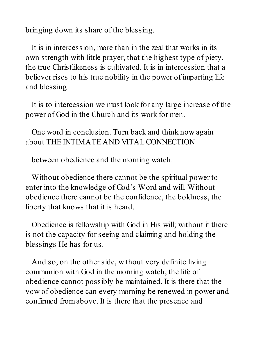bringing down its share of the blessing.

It is in intercession, more than in the zeal that works in its own strength with little prayer, that the highest type of piety, the true Christlikeness is cultivated. It is in intercession that a believer rises to his true nobility in the power of imparting life and blessing.

It is to intercession we must look for any large increase of the power of God in the Church and its work for men.

One word in conclusion. Turn back and think now again about THE INTIMATE AND VITALCONNECTION

between obedience and the morning watch.

Without obedience there cannot be the spiritual power to enter into the knowledge of God's Word and will. Without obedience there cannot be the confidence, the boldness, the liberty that knows that it is heard.

Obedience is fellowship with God in His will; without it there is not the capacity for seeing and claiming and holding the blessings He has for us.

And so, on the other side, without very definite living communion with God in the morning watch, the life of obedience cannot possibly be maintained. It is there that the vow of obedience can every morning be renewed in power and confirmed fromabove. It is there that the presence and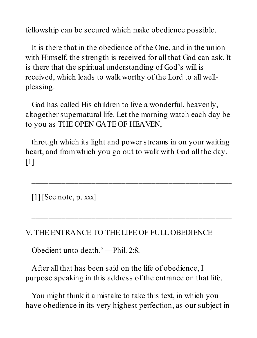fellowship can be secured which make obedience possible.

It is there that in the obedience of the One, and in the union with Himself, the strength is received for all that God can ask. It is there that the spiritual understanding of God's will is received, which leads to walk worthy of the Lord to all wellpleasing.

God has called His children to live a wonderful, heavenly, altogether supernatural life. Let the morning watch each day be to you as THE OPEN GATE OF HEAVEN,

through which its light and power streams in on your waiting heart, and fromwhich you go out to walk with God all the day.  $[1]$ 

\_\_\_\_\_\_\_\_\_\_\_\_\_\_\_\_\_\_\_\_\_\_\_\_\_\_\_\_\_\_\_\_\_\_\_\_\_\_\_\_\_\_\_\_\_\_\_\_\_\_\_\_\_\_\_\_\_\_\_\_\_\_\_\_\_\_

\_\_\_\_\_\_\_\_\_\_\_\_\_\_\_\_\_\_\_\_\_\_\_\_\_\_\_\_\_\_\_\_\_\_\_\_\_\_\_\_\_\_\_\_\_\_\_\_\_\_\_\_\_\_\_\_\_\_\_\_\_\_\_\_\_\_

[1] [See note, p. xxx]

#### V. THE ENTRANCE TO THE LIFE OF FULL OBEDIENCE

Obedient unto death.' —Phil. 2:8.

After all that has been said on the life of obedience, I purpose speaking in this address of the entrance on that life.

You might think it a mistake to take this text, in which you have obedience in its very highest perfection, as our subject in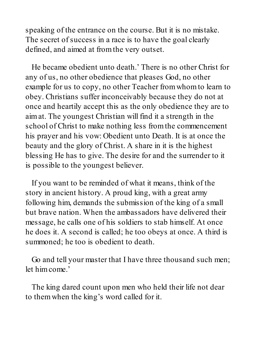speaking of the entrance on the course. But it is no mistake. The secret of success in a race is to have the goal clearly defined, and aimed at fromthe very outset.

He became obedient unto death.' There is no other Christ for any of us, no other obedience that pleases God, no other example for us to copy, no other Teacher fromwhomto learn to obey. Christians suffer inconceivably because they do not at once and heartily accept this as the only obedience they are to aimat. The youngest Christian will find it a strength in the school of Christ to make nothing less fromthe commencement his prayer and his vow: Obedient unto Death. It is at once the beauty and the glory of Christ. A share in it is the highest blessing He has to give. The desire for and the surrender to it is possible to the youngest believer.

If you want to be reminded of what it means, think of the story in ancient history. A proud king, with a great army following him, demands the submission of the king of a small but brave nation. When the ambassadors have delivered their message, he calls one of his soldiers to stab himself. At once he does it. A second is called; he too obeys at once. A third is summoned; he too is obedient to death.

Go and tell your master that I have three thousand such men; let himcome.'

The king dared count upon men who held their life not dear to themwhen the king's word called for it.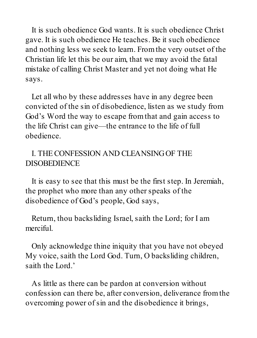It is such obedience God wants. It is such obedience Christ gave. It is such obedience He teaches. Be it such obedience and nothing less we seek to learn. Fromthe very outset of the Christian life let this be our aim, that we may avoid the fatal mistake of calling Christ Master and yet not doing what He says.

Let all who by these addresses have in any degree been convicted of the sin of disobedience, listen as we study from God's Word the way to escape fromthat and gain access to the life Christ can give—the entrance to the life of full obedience.

## I. THECONFESSION AND CLEANSINGOF THE **DISOBEDIENCE**

It is easy to see that this must be the first step. In Jeremiah, the prophet who more than any other speaks of the disobedience of God's people, God says,

Return, thou backsliding Israel, saith the Lord; for I am merciful.

Only acknowledge thine iniquity that you have not obeyed My voice, saith the Lord God. Turn, O backsliding children, saith the Lord.'

As little as there can be pardon at conversion without confession can there be, after conversion, deliverance fromthe overcoming power of sin and the disobedience it brings,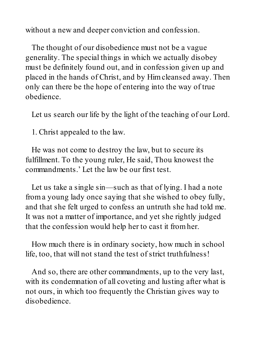without a new and deeper conviction and confession.

The thought of our disobedience must not be a vague generality. The special things in which we actually disobey must be definitely found out, and in confession given up and placed in the hands of Christ, and by Himcleansed away. Then only can there be the hope of entering into the way of true obedience.

Let us search our life by the light of the teaching of our Lord.

1. Christ appealed to the law.

He was not come to destroy the law, but to secure its fulfillment. To the young ruler, He said, Thou knowest the commandments.' Let the law be our first test.

Let us take a single sin—such as that of lying. I had a note froma young lady once saying that she wished to obey fully, and that she felt urged to confess an untruth she had told me. It was not a matter of importance, and yet she rightly judged that the confession would help her to cast it fromher.

How much there is in ordinary society, how much in school life, too, that will not stand the test of strict truthfulness!

And so, there are other commandments, up to the very last, with its condemnation of all coveting and lusting after what is not ours, in which too frequently the Christian gives way to disobedience.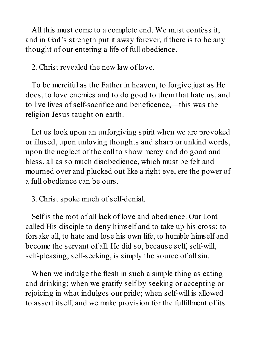All this must come to a complete end. We must confess it, and in God's strength put it away forever, if there is to be any thought of our entering a life of full obedience.

2. Christ revealed the new law of love.

To be merciful as the Father in heaven, to forgive just as He does, to love enemies and to do good to themthat hate us, and to live lives of self-sacrifice and beneficence,—this was the religion Jesus taught on earth.

Let us look upon an unforgiving spirit when we are provoked or illused, upon unloving thoughts and sharp or unkind words, upon the neglect of the call to show mercy and do good and bless, all as so much disobedience, which must be felt and mourned over and plucked out like a right eye, ere the power of a full obedience can be ours.

3. Christ spoke much of self-denial.

Self is the root of all lack of love and obedience. Our Lord called His disciple to deny himself and to take up his cross; to forsake all, to hate and lose his own life, to humble himself and become the servant of all. He did so, because self, self-will, self-pleasing, self-seeking, is simply the source of allsin.

When we indulge the flesh in such a simple thing as eating and drinking; when we gratify self by seeking or accepting or rejoicing in what indulges our pride; when self-will is allowed to assert itself, and we make provision for the fulfillment of its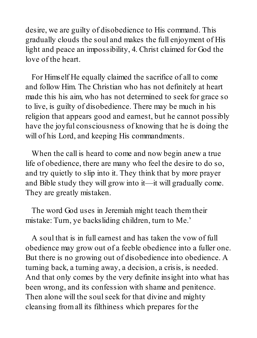desire, we are guilty of disobedience to His command. This gradually clouds the soul and makes the full enjoyment of His light and peace an impossibility, 4. Christ claimed for God the love of the heart.

For Himself He equally claimed the sacrifice of all to come and follow Him. The Christian who has not definitely at heart made this his aim, who has not determined to seek for grace so to live, is guilty of disobedience. There may be much in his religion that appears good and earnest, but he cannot possibly have the joyful consciousness of knowing that he is doing the will of his Lord, and keeping His commandments.

When the call is heard to come and now begin anew a true life of obedience, there are many who feel the desire to do so, and try quietly to slip into it. They think that by more prayer and Bible study they will grow into it—it will gradually come. They are greatly mistaken.

The word God uses in Jeremiah might teach themtheir mistake: Turn, ye backsliding children, turn to Me.'

A soul that is in full earnest and has taken the vow of full obedience may grow out of a feeble obedience into a fuller one. But there is no growing out of disobedience into obedience. A turning back, a turning away, a decision, a crisis, is needed. And that only comes by the very definite insight into what has been wrong, and its confession with shame and penitence. Then alone will the soulseek for that divine and mighty cleansing fromall its filthiness which prepares for the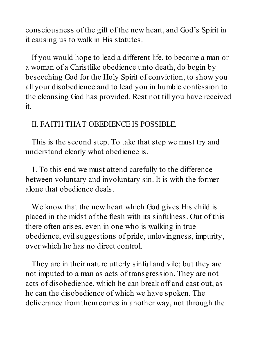consciousness of the gift of the new heart, and God's Spirit in it causing us to walk in His statutes.

If you would hope to lead a different life, to become a man or a woman of a Christlike obedience unto death, do begin by beseeching God for the Holy Spirit of conviction, to show you all your disobedience and to lead you in humble confession to the cleansing God has provided. Rest not till you have received it.

#### II. FAITH THAT OBEDIENCE IS POSSIBLE.

This is the second step. To take that step we must try and understand clearly what obedience is.

1. To this end we must attend carefully to the difference between voluntary and involuntary sin. It is with the former alone that obedience deals.

We know that the new heart which God gives His child is placed in the midst of the flesh with its sinfulness. Out of this there often arises, even in one who is walking in true obedience, evilsuggestions of pride, unlovingness, impurity, over which he has no direct control.

They are in their nature utterly sinful and vile; but they are not imputed to a man as acts of transgression. They are not acts of disobedience, which he can break off and cast out, as he can the disobedience of which we have spoken. The deliverance fromthemcomes in another way, not through the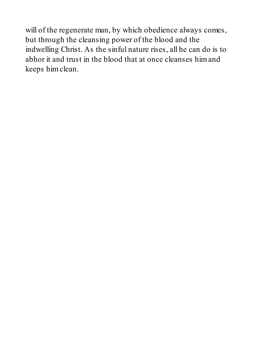will of the regenerate man, by which obedience always comes. but through the cleansing power of the blood and the indwelling Christ. As the sinful nature rises, all he can do is to abhor it and trust in the blood that at once cleanses himand keeps himclean.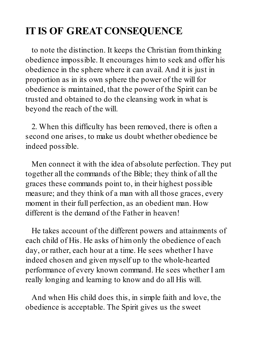# **ITIS OF GREAT CONSEQUENCE**

to note the distinction. It keeps the Christian fromthinking obedience impossible. It encourages himto seek and offer his obedience in the sphere where it can avail. And it is just in proportion as in its own sphere the power of the will for obedience is maintained, that the power of the Spirit can be trusted and obtained to do the cleansing work in what is beyond the reach of the will.

2. When this difficulty has been removed, there is often a second one arises, to make us doubt whether obedience be indeed possible.

Men connect it with the idea of absolute perfection. They put together all the commands of the Bible; they think of all the graces these commands point to, in their highest possible measure; and they think of a man with all those graces, every moment in their full perfection, as an obedient man. How different is the demand of the Father in heaven!

He takes account of the different powers and attainments of each child of His. He asks of himonly the obedience of each day, or rather, each hour at a time. He sees whether I have indeed chosen and given myself up to the whole-hearted performance of every known command. He sees whether I am really longing and learning to know and do all His will.

And when His child does this, in simple faith and love, the obedience is acceptable. The Spirit gives us the sweet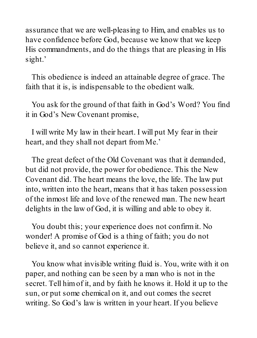assurance that we are well-pleasing to Him, and enables us to have confidence before God, because we know that we keep His commandments, and do the things that are pleasing in His sight.'

This obedience is indeed an attainable degree of grace. The faith that it is, is indispensable to the obedient walk.

You ask for the ground of that faith in God's Word? You find it in God's New Covenant promise,

I will write My law in their heart. I will put My fear in their heart, and they shall not depart from Me.'

The great defect of the Old Covenant was that it demanded, but did not provide, the power for obedience. This the New Covenant did. The heart means the love, the life. The law put into, written into the heart, means that it has taken possession of the inmost life and love of the renewed man. The new heart delights in the law of God, it is willing and able to obey it.

You doubt this; your experience does not confirmit. No wonder! A promise of God is a thing of faith; you do not believe it, and so cannot experience it.

You know what invisible writing fluid is. You, write with it on paper, and nothing can be seen by a man who is not in the secret. Tell himof it, and by faith he knows it. Hold it up to the sun, or put some chemical on it, and out comes the secret writing. So God's law is written in your heart. If you believe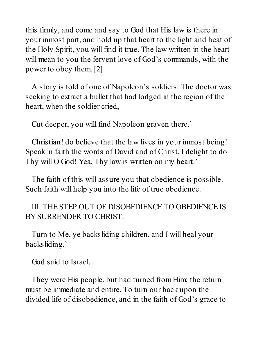this firmly, and come and say to God that His law is there in your inmost part, and hold up that heart to the light and heat of the Holy Spirit, you will find it true. The law written in the heart will mean to you the fervent love of God's commands, with the power to obey them. [2]

A story is told of one of Napoleon's soldiers. The doctor was seeking to extract a bullet that had lodged in the region of the heart, when the soldier cried,

Cut deeper, you will find Napoleon graven there.'

Christian! do believe that the law lives in your inmost being! Speak in faith the words of David and of Christ, I delight to do Thy will O God! Yea, Thy law is written on my heart.'

The faith of this will assure you that obedience is possible. Such faith will help you into the life of true obedience.

## III. THE STEP OUT OF DISOBEDIENCE TO OBEDIENCE IS BYSURRENDER TO CHRIST.

Turn to Me, ye backsliding children, and I will heal your backsliding,'

God said to Israel.

They were His people, but had turned fromHim; the return must be immediate and entire. To turn our back upon the divided life of disobedience, and in the faith of God's grace to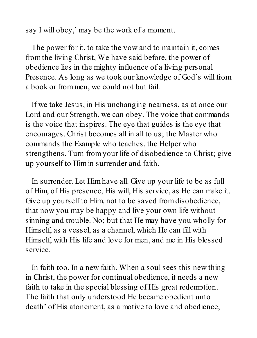say I will obey,' may be the work of a moment.

The power for it, to take the vow and to maintain it, comes fromthe living Christ, We have said before, the power of obedience lies in the mighty influence of a living personal Presence. As long as we took our knowledge of God's will from a book or frommen, we could not but fail.

If we take Jesus, in His unchanging nearness, as at once our Lord and our Strength, we can obey. The voice that commands is the voice that inspires. The eye that guides is the eye that encourages. Christ becomes all in all to us; the Master who commands the Example who teaches, the Helper who strengthens. Turn fromyour life of disobedience to Christ; give up yourself to Himin surrender and faith.

In surrender. Let Himhave all. Give up your life to be as full of Him, of His presence, His will, His service, as He can make it. Give up yourself to Him, not to be saved fromdisobedience, that now you may be happy and live your own life without sinning and trouble. No; but that He may have you wholly for Himself, as a vessel, as a channel, which He can fill with Himself, with His life and love for men, and me in His blessed service.

In faith too. In a new faith. When a soulsees this new thing in Christ, the power for continual obedience, it needs a new faith to take in the special blessing of His great redemption. The faith that only understood He became obedient unto death' of His atonement, as a motive to love and obedience,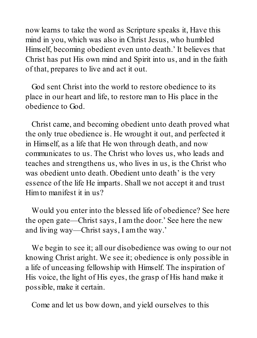now learns to take the word as Scripture speaks it, Have this mind in you, which was also in Christ Jesus, who humbled Himself, becoming obedient even unto death.' It believes that Christ has put His own mind and Spirit into us, and in the faith of that, prepares to live and act it out.

God sent Christ into the world to restore obedience to its place in our heart and life, to restore man to His place in the obedience to God.

Christ came, and becoming obedient unto death proved what the only true obedience is. He wrought it out, and perfected it in Himself, as a life that He won through death, and now communicates to us. The Christ who loves us, who leads and teaches and strengthens us, who lives in us, is the Christ who was obedient unto death. Obedient unto death' is the very essence of the life He imparts. Shall we not accept it and trust Himto manifest it in us?

Would you enter into the blessed life of obedience? See here the open gate—Christ says, I amthe door.' See here the new and living way—Christ says, I amthe way.'

We begin to see it; all our disobedience was owing to our not knowing Christ aright. We see it; obedience is only possible in a life of unceasing fellowship with Himself. The inspiration of His voice, the light of His eyes, the grasp of His hand make it possible, make it certain.

Come and let us bow down, and yield ourselves to this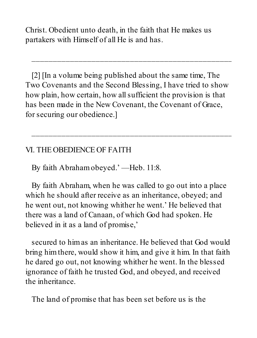Christ. Obedient unto death, in the faith that He makes us partakers with Himself of all He is and has.

[2] [In a volume being published about the same time, The Two Covenants and the Second Blessing, I have tried to show how plain, how certain, how allsufficient the provision is that has been made in the New Covenant, the Covenant of Grace, for securing our obedience.]

\_\_\_\_\_\_\_\_\_\_\_\_\_\_\_\_\_\_\_\_\_\_\_\_\_\_\_\_\_\_\_\_\_\_\_\_\_\_\_\_\_\_\_\_\_\_\_\_\_\_\_\_\_\_\_\_\_\_\_\_\_\_\_\_\_\_

\_\_\_\_\_\_\_\_\_\_\_\_\_\_\_\_\_\_\_\_\_\_\_\_\_\_\_\_\_\_\_\_\_\_\_\_\_\_\_\_\_\_\_\_\_\_\_\_\_\_\_\_\_\_\_\_\_\_\_\_\_\_\_\_\_\_

## VI. THE OBEDIENCE OF FAITH

By faith Abrahamobeyed.' —Heb. 11:8.

By faith Abraham, when he was called to go out into a place which he should after receive as an inheritance, obeyed; and he went out, not knowing whither he went.' He believed that there was a land of Canaan, of which God had spoken. He believed in it as a land of promise,'

secured to himas an inheritance. He believed that God would bring himthere, would show it him, and give it him. In that faith he dared go out, not knowing whither he went. In the blessed ignorance of faith he trusted God, and obeyed, and received the inheritance.

The land of promise that has been set before us is the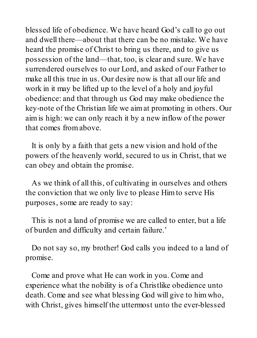blessed life of obedience. We have heard God's call to go out and dwell there—about that there can be no mistake. We have heard the promise of Christ to bring us there, and to give us possession of the land—that, too, is clear and sure. We have surrendered ourselves to our Lord, and asked of our Father to make all this true in us. Our desire now is that all our life and work in it may be lifted up to the level of a holy and joyful obedience: and that through us God may make obedience the key-note of the Christian life we aimat promoting in others. Our aimis high: we can only reach it by a new inflow of the power that comes fromabove.

It is only by a faith that gets a new vision and hold of the powers of the heavenly world, secured to us in Christ, that we can obey and obtain the promise.

As we think of all this, of cultivating in ourselves and others the conviction that we only live to please Himto serve His purposes, some are ready to say:

This is not a land of promise we are called to enter, but a life of burden and difficulty and certain failure.'

Do not say so, my brother! God calls you indeed to a land of promise.

Come and prove what He can work in you. Come and experience what the nobility is of a Christlike obedience unto death. Come and see what blessing God will give to himwho, with Christ, gives himself the uttermost unto the ever-blessed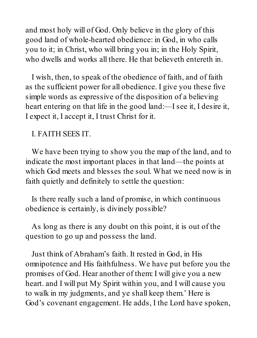and most holy will of God. Only believe in the glory of this good land of whole-hearted obedience: in God, in who calls you to it; in Christ, who will bring you in; in the Holy Spirit, who dwells and works all there. He that believeth entereth in.

I wish, then, to speak of the obedience of faith, and of faith as the sufficient power for all obedience. I give you these five simple words as expressive of the disposition of a believing heart entering on that life in the good land:—I see it, I desire it, I expect it, I accept it, I trust Christ for it.

#### I. FAITH SEES IT.

We have been trying to show you the map of the land, and to indicate the most important places in that land—the points at which God meets and blesses the soul. What we need now is in faith quietly and definitely to settle the question:

Is there really such a land of promise, in which continuous obedience is certainly, is divinely possible?

As long as there is any doubt on this point, it is out of the question to go up and possess the land.

Just think of Abraham's faith. It rested in God, in His omnipotence and His faithfulness. We have put before you the promises of God. Hear another of them: I will give you a new heart. and I will put My Spirit within you, and I will cause you to walk in my judgments, and ye shall keep them.' Here is God's covenant engagement. He adds, I the Lord have spoken,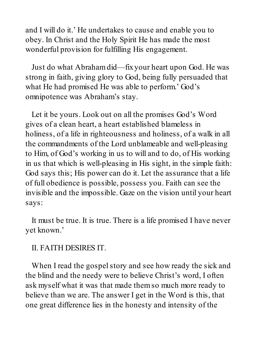and I will do it.' He undertakes to cause and enable you to obey. In Christ and the Holy Spirit He has made the most wonderful provision for fulfilling His engagement.

Just do what Abrahamdid—fixyour heart upon God. He was strong in faith, giving glory to God, being fully persuaded that what He had promised He was able to perform.' God's omnipotence was Abraham's stay.

Let it be yours. Look out on all the promises God's Word gives of a clean heart, a heart established blameless in holiness, of a life in righteousness and holiness, of a walk in all the commandments of the Lord unblameable and well-pleasing to Him, of God's working in us to will and to do, of His working in us that which is well-pleasing in His sight, in the simple faith: God says this; His power can do it. Let the assurance that a life of full obedience is possible, possess you. Faith can see the invisible and the impossible. Gaze on the vision until your heart says:

It must be true. It is true. There is a life promised I have never yet known.'

#### II. FAITH DESIRES IT.

When I read the gospel story and see how ready the sick and the blind and the needy were to believe Christ's word, I often ask myself what it was that made themso much more ready to believe than we are. The answer I get in the Word is this, that one great difference lies in the honesty and intensity of the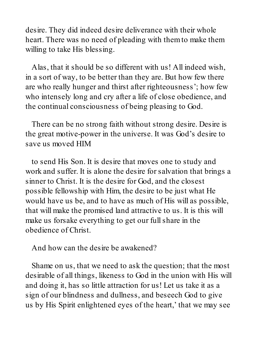desire. They did indeed desire deliverance with their whole heart. There was no need of pleading with themto make them willing to take His blessing.

Alas, that it should be so different with us! All indeed wish, in a sort of way, to be better than they are. But how few there are who really hunger and thirst after righteousness'; how few who intensely long and cry after a life of close obedience, and the continual consciousness of being pleasing to God.

There can be no strong faith without strong desire. Desire is the great motive-power in the universe. It was God's desire to save us moved HIM

to send His Son. It is desire that moves one to study and work and suffer. It is alone the desire for salvation that brings a sinner to Christ. It is the desire for God, and the closest possible fellowship with Him, the desire to be just what He would have us be, and to have as much of His will as possible, that will make the promised land attractive to us. It is this will make us forsake everything to get our fullshare in the obedience of Christ.

And how can the desire be awakened?

Shame on us, that we need to ask the question; that the most desirable of all things, likeness to God in the union with His will and doing it, has so little attraction for us! Let us take it as a sign of our blindness and dullness, and beseech God to give us by His Spirit enlightened eyes of the heart,' that we may see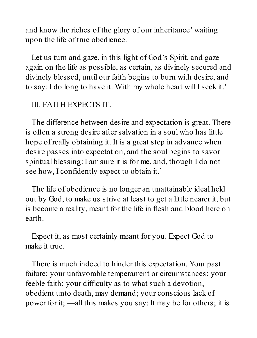and know the riches of the glory of our inheritance' waiting upon the life of true obedience.

Let us turn and gaze, in this light of God's Spirit, and gaze again on the life as possible, as certain, as divinely secured and divinely blessed, until our faith begins to burn with desire, and to say: I do long to have it. With my whole heart will I seek it.'

# III. FAITH EXPECTS IT.

The difference between desire and expectation is great. There is often a strong desire after salvation in a soul who has little hope of really obtaining it. It is a great step in advance when desire passes into expectation, and the soul begins to savor spiritual blessing: I amsure it is for me, and, though I do not see how, I confidently expect to obtain it.'

The life of obedience is no longer an unattainable ideal held out by God, to make us strive at least to get a little nearer it, but is become a reality, meant for the life in flesh and blood here on earth.

Expect it, as most certainly meant for you. Expect God to make it true.

There is much indeed to hinder this expectation. Your past failure; your unfavorable temperament or circumstances; your feeble faith; your difficulty as to what such a devotion, obedient unto death, may demand; your conscious lack of power for it; —all this makes you say: It may be for others; it is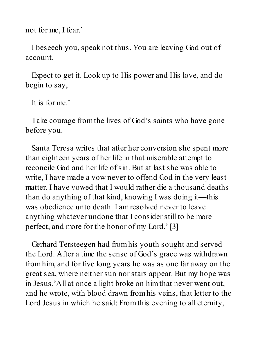not for me, I fear.'

I beseech you, speak not thus. You are leaving God out of account.

Expect to get it. Look up to His power and His love, and do begin to say,

It is for me.'

Take courage fromthe lives of God's saints who have gone before you.

Santa Teresa writes that after her conversion she spent more than eighteen years of her life in that miserable attempt to reconcile God and her life of sin. But at last she was able to write, I have made a vow never to offend God in the very least matter. I have vowed that I would rather die a thousand deaths than do anything of that kind, knowing I was doing it—this was obedience unto death. I amresolved never to leave anything whatever undone that I consider still to be more perfect, and more for the honor of my Lord.' [3]

Gerhard Tersteegen had fromhis youth sought and served the Lord. After a time the sense of God's grace was withdrawn fromhim, and for five long years he was as one far away on the great sea, where neither sun nor stars appear. But my hope was in Jesus.'All at once a light broke on himthat never went out, and he wrote, with blood drawn fromhis veins, that letter to the Lord Jesus in which he said: Fromthis evening to all eternity,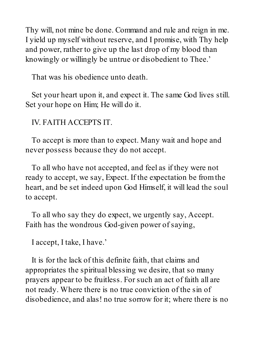Thy will, not mine be done. Command and rule and reign in me. I yield up myself without reserve, and I promise, with Thy help and power, rather to give up the last drop of my blood than knowingly or willingly be untrue or disobedient to Thee.'

That was his obedience unto death.

Set your heart upon it, and expect it. The same God lives still. Set your hope on Him; He will do it.

IV. FAITH ACCEPTS IT.

To accept is more than to expect. Many wait and hope and never possess because they do not accept.

To all who have not accepted, and feel as if they were not ready to accept, we say, Expect. If the expectation be fromthe heart, and be set indeed upon God Himself, it will lead the soul to accept.

To all who say they do expect, we urgently say, Accept. Faith has the wondrous God-given power of saying,

I accept, I take, I have.'

It is for the lack of this definite faith, that claims and appropriates the spiritual blessing we desire, that so many prayers appear to be fruitless. For such an act of faith all are not ready. Where there is no true conviction of the sin of disobedience, and alas! no true sorrow for it; where there is no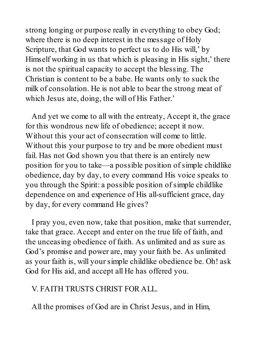strong longing or purpose really in everything to obey God; where there is no deep interest in the message of Holy Scripture, that God wants to perfect us to do His will,' by Himself working in us that which is pleasing in His sight,' there is not the spiritual capacity to accept the blessing. The Christian is content to be a babe. He wants only to suck the milk of consolation. He is not able to bear the strong meat of which Jesus ate, doing, the will of His Father.'

And yet we come to all with the entreaty, Accept it, the grace for this wondrous new life of obedience; accept it now. Without this your act of consecration will come to little. Without this your purpose to try and be more obedient must fail. Has not God shown you that there is an entirely new position for you to take—a possible position of simple childlike obedience, day by day, to every command His voice speaks to you through the Spirit: a possible position of simple childlike dependence on and experience of His all-sufficient grace, day by day, for every command He gives?

I pray you, even now, take that position, make that surrender, take that grace. Accept and enter on the true life of faith, and the unceasing obedience of faith. As unlimited and as sure as God's promise and power are, may your faith be. As unlimited as your faith is, will your simple childlike obedience be. Oh! ask God for His aid, and accept all He has offered you.

# V. FAITH TRUSTS CHRIST FOR ALL.

All the promises of God are in Christ Jesus, and in Him,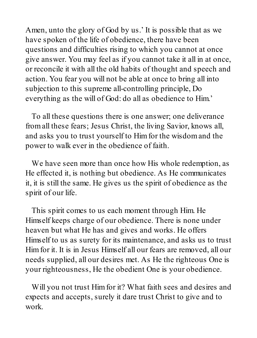Amen, unto the glory of God by us.' It is possible that as we have spoken of the life of obedience, there have been questions and difficulties rising to which you cannot at once give answer. You may feel as if you cannot take it all in at once, or reconcile it with all the old habits of thought and speech and action. You fear you will not be able at once to bring all into subjection to this supreme all-controlling principle, Do everything as the will of God: do all as obedience to Him.'

To all these questions there is one answer; one deliverance fromall these fears; Jesus Christ, the living Savior, knows all, and asks you to trust yourself to Himfor the wisdomand the power to walk ever in the obedience of faith.

We have seen more than once how His whole redemption, as He effected it, is nothing but obedience. As He communicates it, it is still the same. He gives us the spirit of obedience as the spirit of our life.

This spirit comes to us each moment through Him. He Himself keeps charge of our obedience. There is none under heaven but what He has and gives and works. He offers Himself to us as surety for its maintenance, and asks us to trust Himfor it. It is in Jesus Himself all our fears are removed, all our needs supplied, all our desires met. As He the righteous One is your righteousness, He the obedient One is your obedience.

Will you not trust Himfor it? What faith sees and desires and expects and accepts, surely it dare trust Christ to give and to work.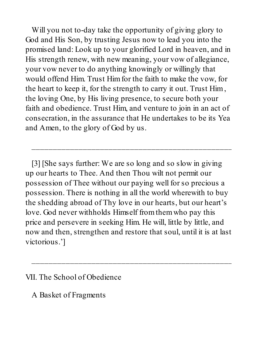Will you not to-day take the opportunity of giving glory to God and His Son, by trusting Jesus now to lead you into the promised land: Look up to your glorified Lord in heaven, and in His strength renew, with new meaning, your vow of allegiance, your vow never to do anything knowingly or willingly that would offend Him. Trust Himfor the faith to make the vow, for the heart to keep it, for the strength to carry it out. Trust Him, the loving One, by His living presence, to secure both your faith and obedience. Trust Him, and venture to join in an act of consecration, in the assurance that He undertakes to be its Yea and Amen, to the glory of God by us.

[3] [She says further: We are so long and so slow in giving up our hearts to Thee. And then Thou wilt not permit our possession of Thee without our paying well for so precious a possession. There is nothing in all the world wherewith to buy the shedding abroad of Thy love in our hearts, but our heart's love. God never withholds Himself fromthemwho pay this price and persevere in seeking Him. He will, little by little, and now and then, strengthen and restore that soul, until it is at last victorious.']

\_\_\_\_\_\_\_\_\_\_\_\_\_\_\_\_\_\_\_\_\_\_\_\_\_\_\_\_\_\_\_\_\_\_\_\_\_\_\_\_\_\_\_\_\_\_\_\_\_\_\_\_\_\_\_\_\_\_\_\_\_\_\_\_\_\_

\_\_\_\_\_\_\_\_\_\_\_\_\_\_\_\_\_\_\_\_\_\_\_\_\_\_\_\_\_\_\_\_\_\_\_\_\_\_\_\_\_\_\_\_\_\_\_\_\_\_\_\_\_\_\_\_\_\_\_\_\_\_\_\_\_\_

# VII. The School of Obedience

A Basket of Fragments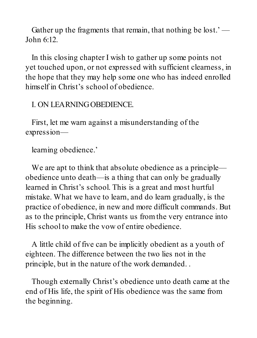Gather up the fragments that remain, that nothing be lost.' — John  $6:12$ .

In this closing chapter I wish to gather up some points not yet touched upon, or not expressed with sufficient clearness, in the hope that they may help some one who has indeed enrolled himself in Christ's school of obedience.

## I. ON LEARNINGOBEDIENCE.

First, let me warn against a misunderstanding of the expression—

learning obedience.'

We are apt to think that absolute obedience as a principle obedience unto death—is a thing that can only be gradually learned in Christ's school. This is a great and most hurtful mistake. What we have to learn, and do learn gradually, is the practice of obedience, in new and more difficult commands. But as to the principle, Christ wants us fromthe very entrance into His school to make the vow of entire obedience.

A little child of five can be implicitly obedient as a youth of eighteen. The difference between the two lies not in the principle, but in the nature of the work demanded. .

Though externally Christ's obedience unto death came at the end of His life, the spirit of His obedience was the same from the beginning.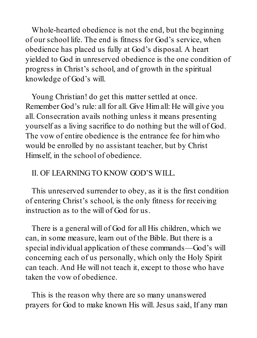Whole-hearted obedience is not the end, but the beginning of our school life. The end is fitness for God's service, when obedience has placed us fully at God's disposal. A heart yielded to God in unreserved obedience is the one condition of progress in Christ's school, and of growth in the spiritual knowledge of God's will.

Young Christian! do get this matter settled at once. Remember God's rule: all for all. Give Himall: He will give you all. Consecration avails nothing unless it means presenting yourself as a living sacrifice to do nothing but the will of God. The vow of entire obedience is the entrance fee for himwho would be enrolled by no assistant teacher, but by Christ Himself, in the school of obedience.

# II. OF LEARNINGTO KNOW GOD'S WILL.

This unreserved surrender to obey, as it is the first condition of entering Christ's school, is the only fitness for receiving instruction as to the will of God for us.

There is a general will of God for all His children, which we can, in some measure, learn out of the Bible. But there is a special individual application of these commands—God's will concerning each of us personally, which only the Holy Spirit can teach. And He will not teach it, except to those who have taken the vow of obedience.

This is the reason why there are so many unanswered prayers for God to make known His will. Jesus said, If any man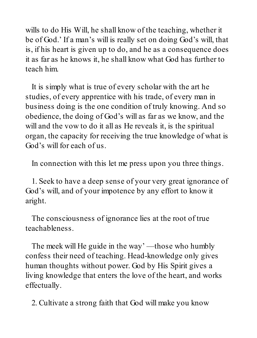wills to do His Will, he shall know of the teaching, whether it be of God.' If a man's will is really set on doing God's will, that is, if his heart is given up to do, and he as a consequence does it as far as he knows it, he shall know what God has further to teach him.

It is simply what is true of every scholar with the art he studies, of every apprentice with his trade, of every man in business doing is the one condition of truly knowing. And so obedience, the doing of God's will as far as we know, and the will and the vow to do it all as He reveals it, is the spiritual organ, the capacity for receiving the true knowledge of what is God's will for each of us.

In connection with this let me press upon you three things.

1. Seek to have a deep sense of your very great ignorance of God's will, and of your impotence by any effort to know it aright.

The consciousness of ignorance lies at the root of true teachableness.

The meek will He guide in the way' —those who humbly confess their need of teaching. Head-knowledge only gives human thoughts without power. God by His Spirit gives a living knowledge that enters the love of the heart, and works effectually.

2. Cultivate a strong faith that God will make you know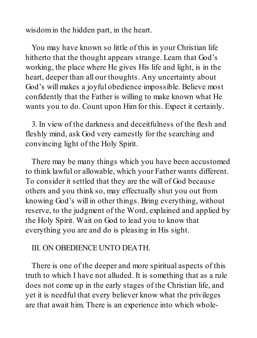wisdomin the hidden part, in the heart.

You may have known so little of this in your Christian life hitherto that the thought appears strange. Learn that God's working, the place where He gives His life and light, is in the heart, deeper than all our thoughts. Any uncertainty about God's will makes a joyful obedience impossible. Believe most confidently that the Father is willing to make known what He wants you to do. Count upon Himfor this. Expect it certainly.

3. In view of the darkness and deceitfulness of the flesh and fleshly mind, ask God very earnestly for the searching and convincing light of the Holy Spirit.

There may be many things which you have been accustomed to think lawful or allowable, which your Father wants different. To consider it settled that they are the will of God because others and you think so, may effectually shut you out from knowing God's will in other things. Bring everything, without reserve, to the judgment of the Word, explained and applied by the Holy Spirit. Wait on God to lead you to know that everything you are and do is pleasing in His sight.

#### III. ON OBEDIENCE UNTO DEATH.

There is one of the deeper and more spiritual aspects of this truth to which I have not alluded. It is something that as a rule does not come up in the early stages of the Christian life, and yet it is needful that every believer know what the privileges are that await him. There is an experience into which whole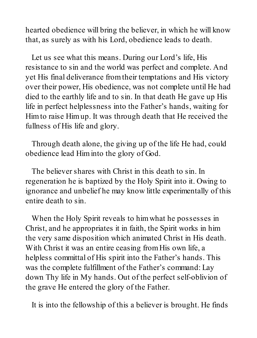hearted obedience will bring the believer, in which he will know that, as surely as with his Lord, obedience leads to death.

Let us see what this means. During our Lord's life, His resistance to sin and the world was perfect and complete. And yet His final deliverance fromtheir temptations and His victory over their power, His obedience, was not complete until He had died to the earthly life and to sin. In that death He gave up His life in perfect helplessness into the Father's hands, waiting for Himto raise Himup. It was through death that He received the fullness of His life and glory.

Through death alone, the giving up of the life He had, could obedience lead Himinto the glory of God.

The believer shares with Christ in this death to sin. In regeneration he is baptized by the Holy Spirit into it. Owing to ignorance and unbelief he may know little experimentally of this entire death to sin.

When the Holy Spirit reveals to himwhat he possesses in Christ, and he appropriates it in faith, the Spirit works in him the very same disposition which animated Christ in His death. With Christ it was an entire ceasing from His own life, a helpless committal of His spirit into the Father's hands. This was the complete fulfillment of the Father's command: Lay down Thy life in My hands. Out of the perfect self-oblivion of the grave He entered the glory of the Father.

It is into the fellowship of this a believer is brought. He finds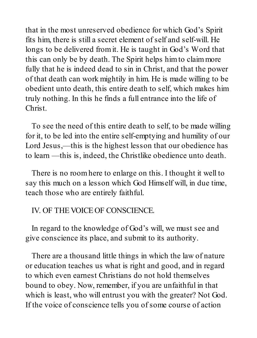that in the most unreserved obedience for which God's Spirit fits him, there is still a secret element of self and self-will. He longs to be delivered fromit. He is taught in God's Word that this can only be by death. The Spirit helps himto claimmore fully that he is indeed dead to sin in Christ, and that the power of that death can work mightily in him. He is made willing to be obedient unto death, this entire death to self, which makes him truly nothing. In this he finds a full entrance into the life of Christ.

To see the need of this entire death to self, to be made willing for it, to be led into the entire self-emptying and humility of our Lord Jesus,—this is the highest lesson that our obedience has to learn —this is, indeed, the Christlike obedience unto death.

There is no roomhere to enlarge on this. I thought it well to say this much on a lesson which God Himself will, in due time, teach those who are entirely faithful.

# IV. OF THE VOICE OF CONSCIENCE.

In regard to the knowledge of God's will, we must see and give conscience its place, and submit to its authority.

There are a thousand little things in which the law of nature or education teaches us what is right and good, and in regard to which even earnest Christians do not hold themselves bound to obey. Now, remember, if you are unfaithful in that which is least, who will entrust you with the greater? Not God. If the voice of conscience tells you of some course of action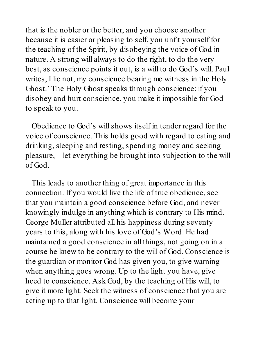that is the nobler or the better, and you choose another because it is easier or pleasing to self, you unfit yourself for the teaching of the Spirit, by disobeying the voice of God in nature. A strong will always to do the right, to do the very best, as conscience points it out, is a will to do God's will. Paul writes, I lie not, my conscience bearing me witness in the Holy Ghost.' The Holy Ghost speaks through conscience: if you disobey and hurt conscience, you make it impossible for God to speak to you.

Obedience to God's willshows itself in tender regard for the voice of conscience. This holds good with regard to eating and drinking, sleeping and resting, spending money and seeking pleasure,—let everything be brought into subjection to the will of God.

This leads to another thing of great importance in this connection. If you would live the life of true obedience, see that you maintain a good conscience before God, and never knowingly indulge in anything which is contrary to His mind. George Muller attributed all his happiness during seventy years to this, along with his love of God's Word. He had maintained a good conscience in all things, not going on in a course he knew to be contrary to the will of God. Conscience is the guardian or monitor God has given you, to give warning when anything goes wrong. Up to the light you have, give heed to conscience. Ask God, by the teaching of His will, to give it more light. Seek the witness of conscience that you are acting up to that light. Conscience will become your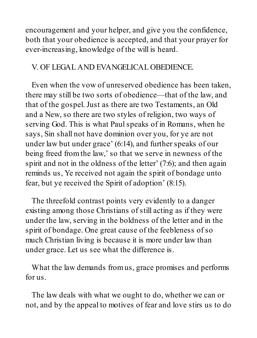encouragement and your helper, and give you the confidence, both that your obedience is accepted, and that your prayer for ever-increasing, knowledge of the will is heard.

# V. OF LEGAL AND EVANGELICAL OBEDIENCE.

Even when the vow of unreserved obedience has been taken, there may still be two sorts of obedience—that of the law, and that of the gospel. Just as there are two Testaments, an Old and a New, so there are two styles of religion, two ways of serving God. This is what Paul speaks of in Romans, when he says, Sin shall not have dominion over you, for ye are not under law but under grace' (6:14), and further speaks of our being freed fromthe law,' so that we serve in newness of the spirit and not in the oldness of the letter' (7:6); and then again reminds us, Ye received not again the spirit of bondage unto fear, but ye received the Spirit of adoption' (8:15).

The threefold contrast points very evidently to a danger existing among those Christians of still acting as if they were under the law, serving in the boldness of the letter and in the spirit of bondage. One great cause of the feebleness of so much Christian living is because it is more under law than under grace. Let us see what the difference is.

What the law demands fromus, grace promises and performs for us.

The law deals with what we ought to do, whether we can or not, and by the appeal to motives of fear and love stirs us to do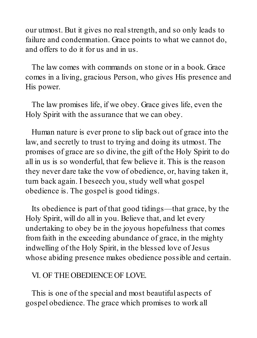our utmost. But it gives no realstrength, and so only leads to failure and condemnation. Grace points to what we cannot do, and offers to do it for us and in us.

The law comes with commands on stone or in a book. Grace comes in a living, gracious Person, who gives His presence and His power.

The law promises life, if we obey. Grace gives life, even the Holy Spirit with the assurance that we can obey.

Human nature is ever prone to slip back out of grace into the law, and secretly to trust to trying and doing its utmost. The promises of grace are so divine, the gift of the Holy Spirit to do all in us is so wonderful, that few believe it. This is the reason they never dare take the vow of obedience, or, having taken it, turn back again. I beseech you, study well what gospel obedience is. The gospel is good tidings.

Its obedience is part of that good tidings—that grace, by the Holy Spirit, will do all in you. Believe that, and let every undertaking to obey be in the joyous hopefulness that comes fromfaith in the exceeding abundance of grace, in the mighty indwelling of the Holy Spirit, in the blessed love of Jesus whose abiding presence makes obedience possible and certain.

#### VI. OF THE OBEDIENCE OF LOVE.

This is one of the special and most beautiful aspects of gospel obedience. The grace which promises to work all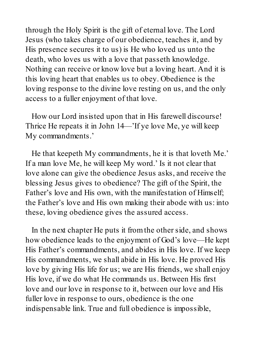through the Holy Spirit is the gift of eternal love. The Lord Jesus (who takes charge of our obedience, teaches it, and by His presence secures it to us) is He who loved us unto the death, who loves us with a love that passeth knowledge. Nothing can receive or know love but a loving heart. And it is this loving heart that enables us to obey. Obedience is the loving response to the divine love resting on us, and the only access to a fuller enjoyment of that love.

How our Lord insisted upon that in His farewell discourse! Thrice He repeats it in John 14—'If ye love Me, ye will keep My commandments.'

He that keepeth My commandments, he it is that loveth Me.' If a man love Me, he will keep My word.' Is it not clear that love alone can give the obedience Jesus asks, and receive the blessing Jesus gives to obedience? The gift of the Spirit, the Father's love and His own, with the manifestation of Himself; the Father's love and His own making their abode with us: into these, loving obedience gives the assured access.

In the next chapter He puts it fromthe other side, and shows how obedience leads to the enjoyment of God's love—He kept His Father's commandments, and abides in His love. If we keep His commandments, we shall abide in His love. He proved His love by giving His life for us; we are His friends, we shall enjoy His love, if we do what He commands us. Between His first love and our love in response to it, between our love and His fuller love in response to ours, obedience is the one indispensable link. True and full obedience is impossible,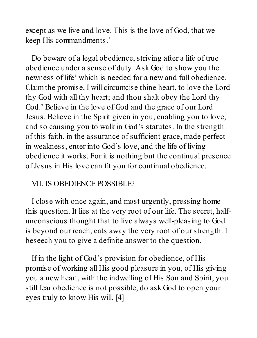except as we live and love. This is the love of God, that we keep His commandments.'

Do beware of a legal obedience, striving after a life of true obedience under a sense of duty. Ask God to show you the newness of life' which is needed for a new and full obedience. Claimthe promise, I will circumcise thine heart, to love the Lord thy God with all thy heart; and thou shalt obey the Lord thy God.' Believe in the love of God and the grace of our Lord Jesus. Believe in the Spirit given in you, enabling you to love, and so causing you to walk in God's statutes. In the strength of this faith, in the assurance of sufficient grace, made perfect in weakness, enter into God's love, and the life of living obedience it works. For it is nothing but the continual presence of Jesus in His love can fit you for continual obedience.

# VII. IS OBEDIENCE POSSIBLE?

I close with once again, and most urgently, pressing home this question. It lies at the very root of our life. The secret, halfunconscious thought that to live always well-pleasing to God is beyond our reach, eats away the very root of our strength. I beseech you to give a definite answer to the question.

If in the light of God's provision for obedience, of His promise of working all His good pleasure in you, of His giving you a new heart, with the indwelling of His Son and Spirit, you still fear obedience is not possible, do ask God to open your eyes truly to know His will. [4]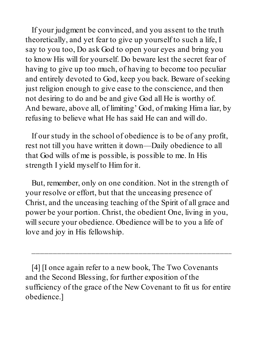If your judgment be convinced, and you assent to the truth theoretically, and yet fear to give up yourself to such a life, I say to you too. Do ask God to open your eyes and bring you to know His will for yourself. Do beware lest the secret fear of having to give up too much, of having to become too peculiar and entirely devoted to God, keep you back. Beware of seeking just religion enough to give ease to the conscience, and then not desiring to do and be and give God all He is worthy of. And beware, above all, of limiting' God, of making Hima liar, by refusing to believe what He has said He can and will do.

If our study in the school of obedience is to be of any profit, rest not till you have written it down—Daily obedience to all that God wills of me is possible, is possible to me. In His strength I yield myself to Himfor it.

But, remember, only on one condition. Not in the strength of your resolve or effort, but that the unceasing presence of Christ, and the unceasing teaching of the Spirit of all grace and power be your portion. Christ, the obedient One, living in you, will secure your obedience. Obedience will be to you a life of love and joy in His fellowship.

[4] [I once again refer to a new book, The Two Covenants and the Second Blessing, for further exposition of the sufficiency of the grace of the New Covenant to fit us for entire obedience.]

\_\_\_\_\_\_\_\_\_\_\_\_\_\_\_\_\_\_\_\_\_\_\_\_\_\_\_\_\_\_\_\_\_\_\_\_\_\_\_\_\_\_\_\_\_\_\_\_\_\_\_\_\_\_\_\_\_\_\_\_\_\_\_\_\_\_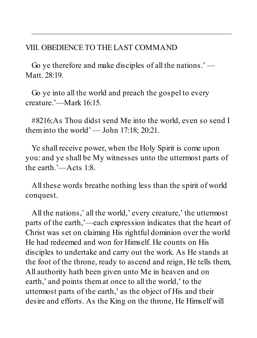### VIII. OBEDIENCE TO THE LAST COMMAND

Go ye therefore and make disciples of all the nations.' — Matt. 28:19

\_\_\_\_\_\_\_\_\_\_\_\_\_\_\_\_\_\_\_\_\_\_\_\_\_\_\_\_\_\_\_\_\_\_\_\_\_\_\_\_\_\_\_\_\_\_\_\_\_\_\_\_\_\_\_\_\_\_\_\_\_\_\_\_\_\_

Go ye into all the world and preach the gospel to every creature.'—Mark 16:15.

#8216;As Thou didst send Me into the world, even so send I theminto the world' — John 17:18; 20:21.

Ye shall receive power, when the Holy Spirit is come upon you: and ye shall be My witnesses unto the uttermost parts of the earth.'—Acts 1:8.

All these words breathe nothing less than the spirit of world conquest.

All the nations,' all the world,' every creature,' the uttermost parts of the earth,'—each expression indicates that the heart of Christ was set on claiming His rightful dominion over the world He had redeemed and won for Himself. He counts on His disciples to undertake and carry out the work. As He stands at the foot of the throne, ready to ascend and reign, He tells them, All authority hath been given unto Me in heaven and on earth,' and points themat once to all the world,' to the uttermost parts of the earth,' as the object of His and their desire and efforts. As the King on the throne, He Himself will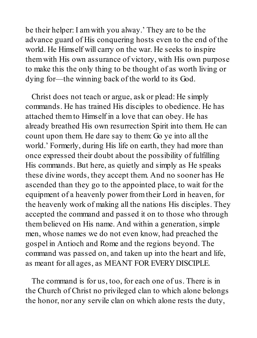be their helper: I amwith you alway.' They are to be the advance guard of His conquering hosts even to the end of the world. He Himself will carry on the war. He seeks to inspire themwith His own assurance of victory, with His own purpose to make this the only thing to be thought of as worth living or dying for—the winning back of the world to its God.

Christ does not teach or argue, ask or plead: He simply commands. He has trained His disciples to obedience. He has attached themto Himself in a love that can obey. He has already breathed His own resurrection Spirit into them. He can count upon them. He dare say to them: Go ye into all the world.' Formerly, during His life on earth, they had more than once expressed their doubt about the possibility of fulfilling His commands. But here, as quietly and simply as He speaks these divine words, they accept them. And no sooner has He ascended than they go to the appointed place, to wait for the equipment of a heavenly power fromtheir Lord in heaven, for the heavenly work of making all the nations His disciples. They accepted the command and passed it on to those who through thembelieved on His name. And within a generation, simple men, whose names we do not even know, had preached the gospel in Antioch and Rome and the regions beyond. The command was passed on, and taken up into the heart and life, as meant for all ages, as MEANT FOR EVERYDISCIPLE.

The command is for us, too, for each one of us. There is in the Church of Christ no privileged clan to which alone belongs the honor, nor any servile clan on which alone rests the duty,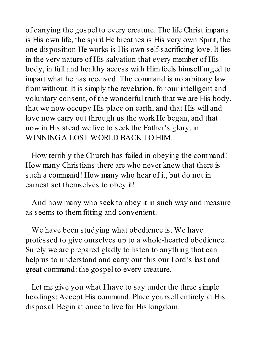of carrying the gospel to every creature. The life Christ imparts is His own life, the spirit He breathes is His very own Spirit, the one disposition He works is His own self-sacrificing love. It lies in the very nature of His salvation that every member of His body, in full and healthy access with Himfeels himself urged to impart what he has received. The command is no arbitrary law fromwithout. It is simply the revelation, for our intelligent and voluntary consent, of the wonderful truth that we are His body, that we now occupy His place on earth, and that His will and love now carry out through us the work He began, and that now in His stead we live to seek the Father's glory, in WINNING A LOST WORLD BACK TO HIM.

How terribly the Church has failed in obeying the command! How many Christians there are who never knew that there is such a command! How many who hear of it, but do not in earnest set themselves to obey it!

And how many who seek to obey it in such way and measure as seems to themfitting and convenient.

We have been studying what obedience is. We have professed to give ourselves up to a whole-hearted obedience. Surely we are prepared gladly to listen to anything that can help us to understand and carry out this our Lord's last and great command: the gospel to every creature.

Let me give you what I have to say under the three simple headings: Accept His command. Place yourself entirely at His disposal. Begin at once to live for His kingdom.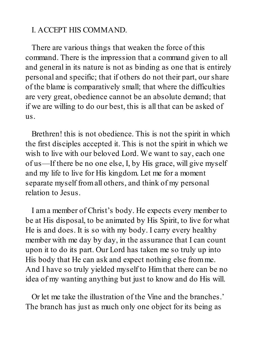# I. ACCEPT HIS COMMAND.

There are various things that weaken the force of this command. There is the impression that a command given to all and general in its nature is not as binding as one that is entirely personal and specific; that if others do not their part, our share of the blame is comparatively small; that where the difficulties are very great, obedience cannot be an absolute demand; that if we are willing to do our best, this is all that can be asked of us.

Brethren! this is not obedience. This is not the spirit in which the first disciples accepted it. This is not the spirit in which we wish to live with our beloved Lord. We want to say, each one of us—If there be no one else, I, by His grace, will give myself and my life to live for His kingdom. Let me for a moment separate myself fromall others, and think of my personal relation to Jesus.

I ama member of Christ's body. He expects every member to be at His disposal, to be animated by His Spirit, to live for what He is and does. It is so with my body. I carry every healthy member with me day by day, in the assurance that I can count upon it to do its part. Our Lord has taken me so truly up into His body that He can ask and expect nothing else fromme. And I have so truly yielded myself to Himthat there can be no idea of my wanting anything but just to know and do His will.

Or let me take the illustration of the Vine and the branches.' The branch has just as much only one object for its being as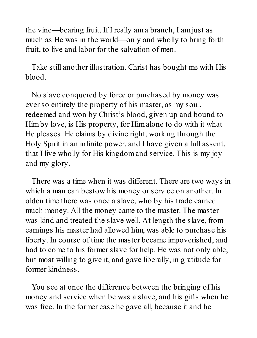the vine—bearing fruit. If I really ama branch, I amjust as much as He was in the world—only and wholly to bring forth fruit, to live and labor for the salvation of men.

Take still another illustration. Christ has bought me with His blood.

No slave conquered by force or purchased by money was ever so entirely the property of his master, as my soul, redeemed and won by Christ's blood, given up and bound to Himby love, is His property, for Himalone to do with it what He pleases. He claims by divine right, working through the Holy Spirit in an infinite power, and I have given a full assent, that I live wholly for His kingdomand service. This is my joy and my glory.

There was a time when it was different. There are two ways in which a man can bestow his money or service on another. In olden time there was once a slave, who by his trade earned much money. All the money came to the master. The master was kind and treated the slave well. At length the slave, from earnings his master had allowed him, was able to purchase his liberty. In course of time the master became impoverished, and had to come to his former slave for help. He was not only able, but most willing to give it, and gave liberally, in gratitude for former kindness.

You see at once the difference between the bringing of his money and service when be was a slave, and his gifts when he was free. In the former case he gave all, because it and he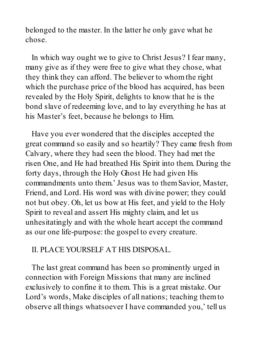belonged to the master. In the latter he only gave what he chose.

In which way ought we to give to Christ Jesus? I fear many, many give as if they were free to give what they chose, what they think they can afford. The believer to whomthe right which the purchase price of the blood has acquired, has been revealed by the Holy Spirit, delights to know that he is the bond slave of redeeming love, and to lay everything he has at his Master's feet, because he belongs to Him.

Have you ever wondered that the disciples accepted the great command so easily and so heartily? They came fresh from Calvary, where they had seen the blood. They had met the risen One, and He had breathed His Spirit into them. During the forty days, through the Holy Ghost He had given His commandments unto them.' Jesus was to themSavior, Master, Friend, and Lord. His word was with divine power; they could not but obey. Oh, let us bow at His feet, and yield to the Holy Spirit to reveal and assert His mighty claim, and let us unhesitatingly and with the whole heart accept the command as our one life-purpose: the gospel to every creature.

# II. PLACE YOURSELF AT HIS DISPOSAL.

The last great command has been so prominently urged in connection with Foreign Missions that many are inclined exclusively to confine it to them. This is a great mistake. Our Lord's words, Make disciples of all nations; teaching themto observe all things whatsoever I have commanded you,' tell us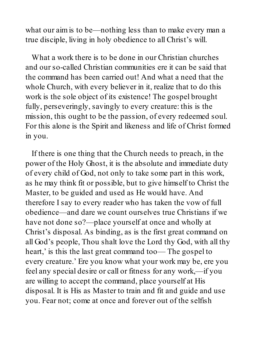what our aimis to be—nothing less than to make every man a true disciple, living in holy obedience to all Christ's will.

What a work there is to be done in our Christian churches and our so-called Christian communities ere it can be said that the command has been carried out! And what a need that the whole Church, with every believer in it, realize that to do this work is the sole object of its existence! The gospel brought fully, perseveringly, savingly to every creature: this is the mission, this ought to be the passion, of every redeemed soul. For this alone is the Spirit and likeness and life of Christ formed in you.

If there is one thing that the Church needs to preach, in the power of the Holy Ghost, it is the absolute and immediate duty of every child of God, not only to take some part in this work, as he may think fit or possible, but to give himself to Christ the Master, to be guided and used as He would have. And therefore I say to every reader who has taken the vow of full obedience—and dare we count ourselves true Christians if we have not done so?—place yourself at once and wholly at Christ's disposal. As binding, as is the first great command on all God's people, Thou shalt love the Lord thy God, with all thy heart,' is this the last great command too— The gospel to every creature.' Ere you know what your work may be, ere you feel any special desire or call or fitness for any work,—if you are willing to accept the command, place yourself at His disposal. It is His as Master to train and fit and guide and use you. Fear not; come at once and forever out of the selfish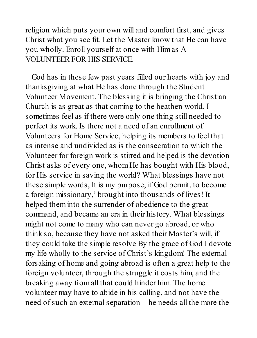religion which puts your own will and comfort first, and gives Christ what you see fit. Let the Master know that He can have you wholly. Enroll yourself at once with Himas A VOLUNTEER FOR HIS SERVICE.

God has in these few past years filled our hearts with joy and thanksgiving at what He has done through the Student Volunteer Movement. The blessing it is bringing the Christian Church is as great as that coming to the heathen world. I sometimes feel as if there were only one thing still needed to perfect its work. Is there not a need of an enrollment of Volunteers for Home Service, helping its members to feel that as intense and undivided as is the consecration to which the Volunteer for foreign work is stirred and helped is the devotion Christ asks of every one, whomHe has bought with His blood, for His service in saving the world? What blessings have not these simple words, It is my purpose, if God permit, to become a foreign missionary,' brought into thousands of lives! It helped theminto the surrender of obedience to the great command, and became an era in their history. What blessings might not come to many who can never go abroad, or who think so, because they have not asked their Master's will, if they could take the simple resolve By the grace of God I devote my life wholly to the service of Christ's kingdom! The external forsaking of home and going abroad is often a great help to the foreign volunteer, through the struggle it costs him, and the breaking away fromall that could hinder him. The home volunteer may have to abide in his calling, and not have the need of such an externalseparation—he needs all the more the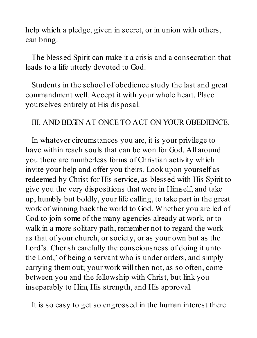help which a pledge, given in secret, or in union with others. can bring.

The blessed Spirit can make it a crisis and a consecration that leads to a life utterly devoted to God.

Students in the school of obedience study the last and great commandment well. Accept it with your whole heart. Place yourselves entirely at His disposal.

# III. AND BEGIN AT ONCE TO ACT ON YOUR OBEDIENCE.

In whatever circumstances you are, it is your privilege to have within reach souls that can be won for God. All around you there are numberless forms of Christian activity which invite your help and offer you theirs. Look upon yourself as redeemed by Christ for His service, as blessed with His Spirit to give you the very dispositions that were in Himself, and take up, humbly but boldly, your life calling, to take part in the great work of winning back the world to God. Whether you are led of God to join some of the many agencies already at work, or to walk in a more solitary path, remember not to regard the work as that of your church, or society, or as your own but as the Lord's. Cherish carefully the consciousness of doing it unto the Lord,' of being a servant who is under orders, and simply carrying themout; your work will then not, as so often, come between you and the fellowship with Christ, but link you inseparably to Him, His strength, and His approval.

It is so easy to get so engrossed in the human interest there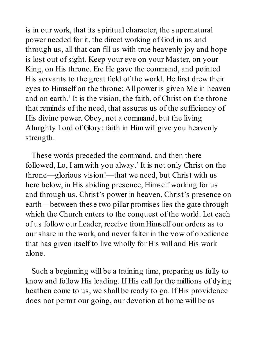is in our work, that its spiritual character, the supernatural power needed for it, the direct working of God in us and through us, all that can fill us with true heavenly joy and hope is lost out of sight. Keep your eye on your Master, on your King, on His throne. Ere He gave the command, and pointed His servants to the great field of the world. He first drew their eyes to Himself on the throne: All power is given Me in heaven and on earth.' It is the vision, the faith, of Christ on the throne that reminds of the need, that assures us of the sufficiency of His divine power. Obey, not a command, but the living Almighty Lord of Glory; faith in Himwill give you heavenly strength.

These words preceded the command, and then there followed, Lo, I amwith you alway.' It is not only Christ on the throne—glorious vision!—that we need, but Christ with us here below, in His abiding presence, Himself working for us and through us. Christ's power in heaven, Christ's presence on earth—between these two pillar promises lies the gate through which the Church enters to the conquest of the world. Let each of us follow our Leader, receive fromHimself our orders as to our share in the work, and never falter in the vow of obedience that has given itself to live wholly for His will and His work alone.

Such a beginning will be a training time, preparing us fully to know and follow His leading. If His call for the millions of dying heathen come to us, we shall be ready to go. If His providence does not permit our going, our devotion at home will be as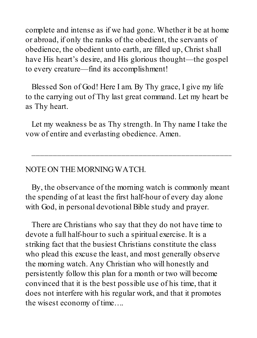complete and intense as if we had gone. Whether it be at home or abroad, if only the ranks of the obedient, the servants of obedience, the obedient unto earth, are filled up, Christ shall have His heart's desire, and His glorious thought—the gospel to every creature—find its accomplishment!

Blessed Son of God! Here I am. By Thy grace, I give my life to the carrying out of Thy last great command. Let my heart be as Thy heart.

Let my weakness be as Thy strength. In Thy name I take the vow of entire and everlasting obedience. Amen.

\_\_\_\_\_\_\_\_\_\_\_\_\_\_\_\_\_\_\_\_\_\_\_\_\_\_\_\_\_\_\_\_\_\_\_\_\_\_\_\_\_\_\_\_\_\_\_\_\_\_\_\_\_\_\_\_\_\_\_\_\_\_\_\_\_\_

## NOTE ON THE MORNINGWATCH.

By, the observance of the morning watch is commonly meant the spending of at least the first half-hour of every day alone with God, in personal devotional Bible study and prayer.

There are Christians who say that they do not have time to devote a full half-hour to such a spiritual exercise. It is a striking fact that the busiest Christians constitute the class who plead this excuse the least, and most generally observe the morning watch. Any Christian who will honestly and persistently follow this plan for a month or two will become convinced that it is the best possible use of his time, that it does not interfere with his regular work, and that it promotes the wisest economy of time….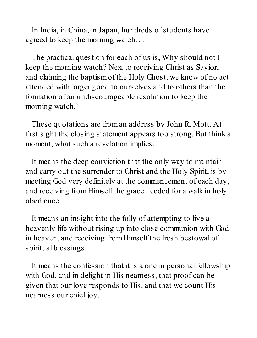In India, in China, in Japan, hundreds of students have agreed to keep the morning watch….

The practical question for each of us is, Why should not I keep the morning watch? Next to receiving Christ as Savior, and claiming the baptismof the Holy Ghost, we know of no act attended with larger good to ourselves and to others than the formation of an undiscourageable resolution to keep the morning watch.'

These quotations are froman address by John R. Mott. At first sight the closing statement appears too strong. But think a moment, what such a revelation implies.

It means the deep conviction that the only way to maintain and carry out the surrender to Christ and the Holy Spirit, is by meeting God very definitely at the commencement of each day, and receiving fromHimself the grace needed for a walk in holy obedience.

It means an insight into the folly of attempting to live a heavenly life without rising up into close communion with God in heaven, and receiving fromHimself the fresh bestowal of spiritual blessings.

It means the confession that it is alone in personal fellowship with God, and in delight in His nearness, that proof can be given that our love responds to His, and that we count His nearness our chief joy.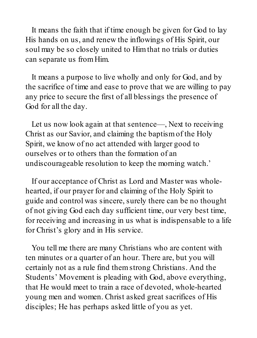It means the faith that if time enough be given for God to lay His hands on us, and renew the inflowings of His Spirit, our soul may be so closely united to Himthat no trials or duties can separate us fromHim.

It means a purpose to live wholly and only for God, and by the sacrifice of time and ease to prove that we are willing to pay any price to secure the first of all blessings the presence of God for all the day.

Let us now look again at that sentence—, Next to receiving Christ as our Savior, and claiming the baptismof the Holy Spirit, we know of no act attended with larger good to ourselves or to others than the formation of an undiscourageable resolution to keep the morning watch.'

If our acceptance of Christ as Lord and Master was wholehearted, if our prayer for and claiming of the Holy Spirit to guide and control was sincere, surely there can be no thought of not giving God each day sufficient time, our very best time, for receiving and increasing in us what is indispensable to a life for Christ's glory and in His service.

You tell me there are many Christians who are content with ten minutes or a quarter of an hour. There are, but you will certainly not as a rule find themstrong Christians. And the Students' Movement is pleading with God, above everything, that He would meet to train a race of devoted, whole-hearted young men and women. Christ asked great sacrifices of His disciples; He has perhaps asked little of you as yet.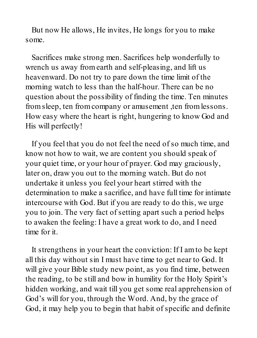But now He allows, He invites, He longs for you to make some.

Sacrifices make strong men. Sacrifices help wonderfully to wrench us away fromearth and self-pleasing, and lift us heavenward. Do not try to pare down the time limit of the morning watch to less than the half-hour. There can be no question about the possibility of finding the time. Ten minutes fromsleep, ten fromcompany or amusement ,ten fromlessons. How easy where the heart is right, hungering to know God and His will perfectly!

If you feel that you do not feel the need of so much time, and know not how to wait, we are content you should speak of your quiet time, or your hour of prayer. God may graciously, later on, draw you out to the morning watch. But do not undertake it unless you feel your heart stirred with the determination to make a sacrifice, and have full time for intimate intercourse with God. But if you are ready to do this, we urge you to join. The very fact of setting apart such a period helps to awaken the feeling: I have a great work to do, and I need time for it.

It strengthens in your heart the conviction: If I amto be kept all this day without sin I must have time to get near to God. It will give your Bible study new point, as you find time, between the reading, to be still and bow in humility for the Holy Spirit's hidden working, and wait till you get some real apprehension of God's will for you, through the Word. And, by the grace of God, it may help you to begin that habit of specific and definite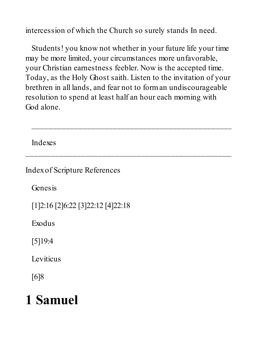intercession of which the Church so surely stands In need.

Students! you know not whether in your future life your time may be more limited, your circumstances more unfavorable, your Christian earnestness feebler. Now is the accepted time. Today, as the Holy Ghost saith. Listen to the invitation of your brethren in all lands, and fear not to forman undiscourageable resolution to spend at least half an hour each morning with God alone.

\_\_\_\_\_\_\_\_\_\_\_\_\_\_\_\_\_\_\_\_\_\_\_\_\_\_\_\_\_\_\_\_\_\_\_\_\_\_\_\_\_\_\_\_\_\_\_\_\_\_\_\_\_\_\_\_\_\_\_\_\_\_\_\_\_\_

\_\_\_\_\_\_\_\_\_\_\_\_\_\_\_\_\_\_\_\_\_\_\_\_\_\_\_\_\_\_\_\_\_\_\_\_\_\_\_\_\_\_\_\_\_\_\_\_\_\_\_\_\_\_\_\_\_\_\_\_\_\_\_\_\_\_

Indexes

Indexof Scripture References

Genesis

[1]2:16 [2]6:22 [3]22:12 [4]22:18

Exodus

[5]19:4

**Leviticus** 

[6]8

# **1 Samuel**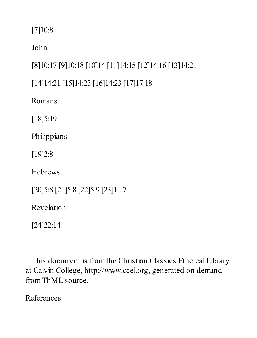[7]10:8

John

[8]10:17 [9]10:18 [10]14 [11]14:15 [12]14:16 [13]14:21

[14]14:21 [15]14:23 [16]14:23 [17]17:18

Romans

[18]5:19

Philippians

[19]2:8

Hebrews

[20]5:8 [21]5:8 [22]5:9 [23]11:7

Revelation

[24]22:14

This document is fromthe Christian Classics Ethereal Library at Calvin College, http://www.ccel.org, generated on demand fromThML source.

\_\_\_\_\_\_\_\_\_\_\_\_\_\_\_\_\_\_\_\_\_\_\_\_\_\_\_\_\_\_\_\_\_\_\_\_\_\_\_\_\_\_\_\_\_\_\_\_\_\_\_\_\_\_\_\_\_\_\_\_\_\_\_\_\_\_

References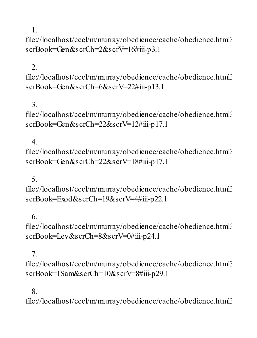1.

file://localhost/ccel/m/murray/obedience/cache/obedience.html3? scrBook=Gen&scrCh=2&scrV=16#iii-p3.1

 $\mathfrak{2}$ 

file://localhost/ccel/m/murray/obedience/cache/obedience.html3? scrBook=Gen&scrCh=6&scrV=22#iii-p13.1

3.

file://localhost/ccel/m/murray/obedience/cache/obedience.html? scrBook=Gen&scrCh=22&scrV=12#iii-p17.1

4.

file://localhost/ccel/m/murray/obedience/cache/obedience.html? scrBook=Gen&scrCh=22&scrV=18#iii-p17.1

5.

file://localhost/ccel/m/murray/obedience/cache/obedience.html? scrBook=Exod&scrCh=19&scrV=4#iii-p22.1

6.

file://localhost/ccel/m/murray/obedience/cache/obedience.html3? scrBook=Lev&scrCh=8&scrV=0#iii-p24.1

7.

file://localhost/ccel/m/murray/obedience/cache/obedience.html3? scrBook=1Sam&scrCh=10&scrV=8#iii-p29.1

8.

file://localhost/ccel/m/murray/obedience/cache/obedience.html3?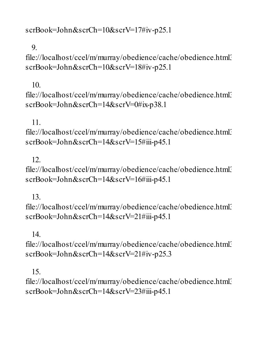```
scrBook=John&scrCh=10&scrV=17#iv-p25.1
```
9.

file://localhost/ccel/m/murray/obedience/cache/obedience.html3? scrBook=John&scrCh=10&scrV=18#iv-p25.1

10.

file://localhost/ccel/m/murray/obedience/cache/obedience.html? scrBook=John&scrCh=14&scrV=0#ix-p38.1

11.

file://localhost/ccel/m/murray/obedience/cache/obedience.html3? scrBook=John&scrCh=14&scrV=15#iii-p45.1

12.

file://localhost/ccel/m/murray/obedience/cache/obedience.html3? scrBook=John&scrCh=14&scrV=16#iii-p45.1

13.

file://localhost/ccel/m/murray/obedience/cache/obedience.html3? scrBook=John&scrCh=14&scrV=21#iii-p45.1

14.

file://localhost/ccel/m/murray/obedience/cache/obedience.html3? scrBook=John&scrCh=14&scrV=21#iv-p25.3

15.

file://localhost/ccel/m/murray/obedience/cache/obedience.html3? scrBook=John&scrCh=14&scrV=23#iii-p45.1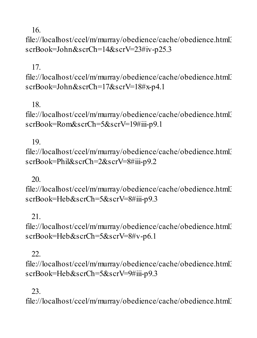16.

file://localhost/ccel/m/murray/obedience/cache/obedience.html? scrBook=John&scrCh=14&scrV=23#iv-p25.3

17.

file://localhost/ccel/m/murray/obedience/cache/obedience.html3? scrBook=John&scrCh=17&scrV=18#x-p4.1

18.

file://localhost/ccel/m/murray/obedience/cache/obedience.html? scrBook=Rom&scrCh=5&scrV=19#iii-p9.1

19.

file://localhost/ccel/m/murray/obedience/cache/obedience.html3? scrBook=Phil&scrCh=2&scrV=8#iii-p9.2

20.

file://localhost/ccel/m/murray/obedience/cache/obedience.html3? scrBook=Heb&scrCh=5&scrV=8#iii-p9.3

21.

file://localhost/ccel/m/murray/obedience/cache/obedience.html? scrBook=Heb&scrCh=5&scrV=8#v-p6.1

22.

file://localhost/ccel/m/murray/obedience/cache/obedience.html3? scrBook=Heb&scrCh=5&scrV=9#iii-p9.3

 $23.$ 

file://localhost/ccel/m/murray/obedience/cache/obedience.html3?